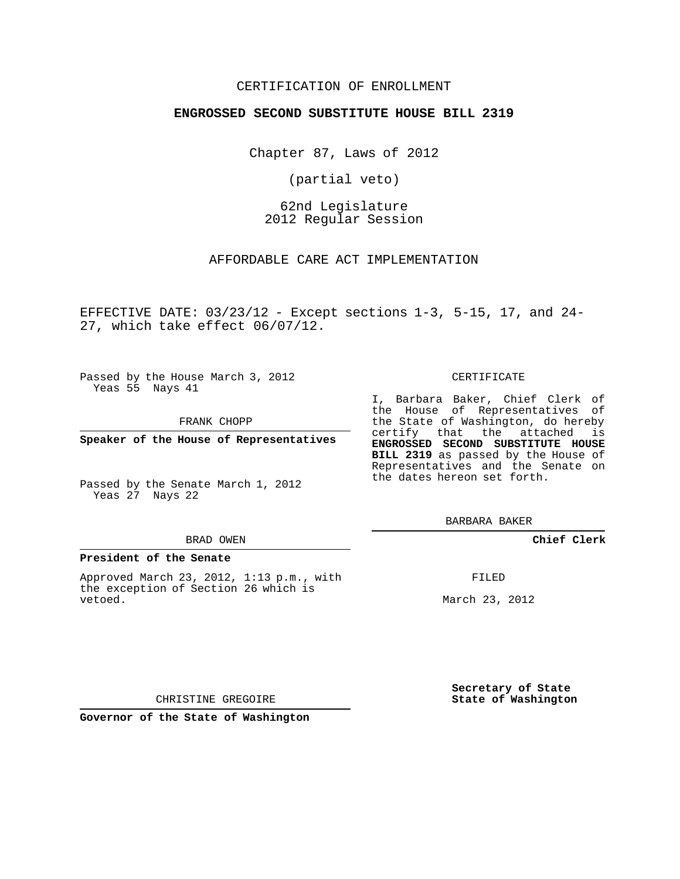#### CERTIFICATION OF ENROLLMENT

#### **ENGROSSED SECOND SUBSTITUTE HOUSE BILL 2319**

Chapter 87, Laws of 2012

(partial veto)

62nd Legislature 2012 Regular Session

AFFORDABLE CARE ACT IMPLEMENTATION

EFFECTIVE DATE:  $03/23/12$  - Except sections  $1-3$ ,  $5-15$ ,  $17$ , and  $24-$ 27, which take effect 06/07/12.

Passed by the House March 3, 2012 Yeas 55 Nays 41

FRANK CHOPP

**Speaker of the House of Representatives**

Passed by the Senate March 1, 2012 Yeas 27 Nays 22

#### BRAD OWEN

#### **President of the Senate**

Approved March 23, 2012, 1:13 p.m., with the exception of Section 26 which is vetoed.

CERTIFICATE

I, Barbara Baker, Chief Clerk of the House of Representatives of the State of Washington, do hereby certify that the attached is **ENGROSSED SECOND SUBSTITUTE HOUSE BILL 2319** as passed by the House of Representatives and the Senate on the dates hereon set forth.

BARBARA BAKER

**Chief Clerk**

FILED

March 23, 2012

**Secretary of State State of Washington**

CHRISTINE GREGOIRE

**Governor of the State of Washington**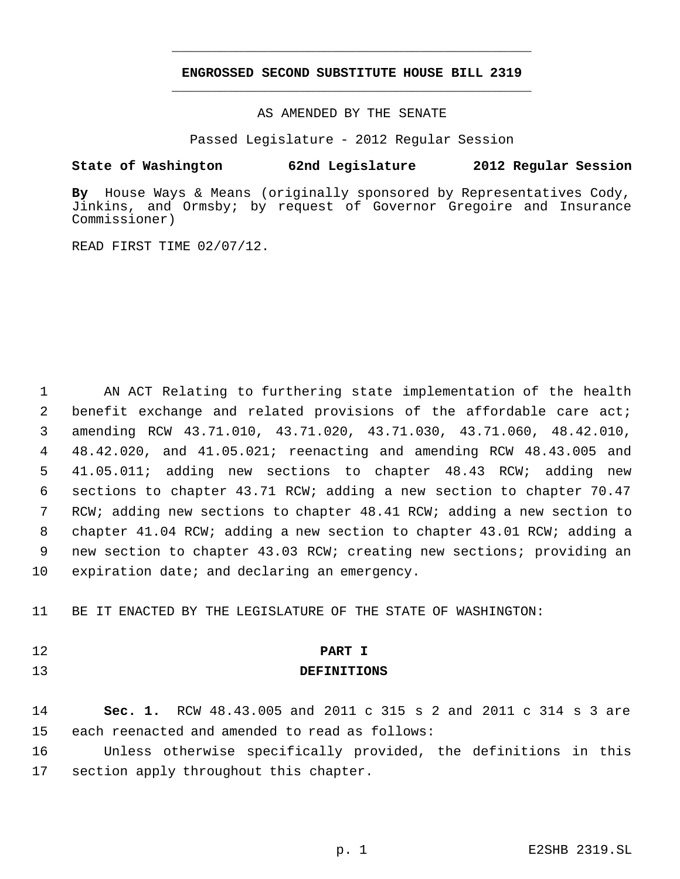# **ENGROSSED SECOND SUBSTITUTE HOUSE BILL 2319** \_\_\_\_\_\_\_\_\_\_\_\_\_\_\_\_\_\_\_\_\_\_\_\_\_\_\_\_\_\_\_\_\_\_\_\_\_\_\_\_\_\_\_\_\_

\_\_\_\_\_\_\_\_\_\_\_\_\_\_\_\_\_\_\_\_\_\_\_\_\_\_\_\_\_\_\_\_\_\_\_\_\_\_\_\_\_\_\_\_\_

AS AMENDED BY THE SENATE

Passed Legislature - 2012 Regular Session

### **State of Washington 62nd Legislature 2012 Regular Session**

**By** House Ways & Means (originally sponsored by Representatives Cody, Jinkins, and Ormsby; by request of Governor Gregoire and Insurance Commissioner)

READ FIRST TIME 02/07/12.

 AN ACT Relating to furthering state implementation of the health benefit exchange and related provisions of the affordable care act; amending RCW 43.71.010, 43.71.020, 43.71.030, 43.71.060, 48.42.010, 48.42.020, and 41.05.021; reenacting and amending RCW 48.43.005 and 41.05.011; adding new sections to chapter 48.43 RCW; adding new sections to chapter 43.71 RCW; adding a new section to chapter 70.47 RCW; adding new sections to chapter 48.41 RCW; adding a new section to chapter 41.04 RCW; adding a new section to chapter 43.01 RCW; adding a new section to chapter 43.03 RCW; creating new sections; providing an expiration date; and declaring an emergency.

BE IT ENACTED BY THE LEGISLATURE OF THE STATE OF WASHINGTON:

## **PART I**

# **DEFINITIONS**

 **Sec. 1.** RCW 48.43.005 and 2011 c 315 s 2 and 2011 c 314 s 3 are each reenacted and amended to read as follows:

 Unless otherwise specifically provided, the definitions in this section apply throughout this chapter.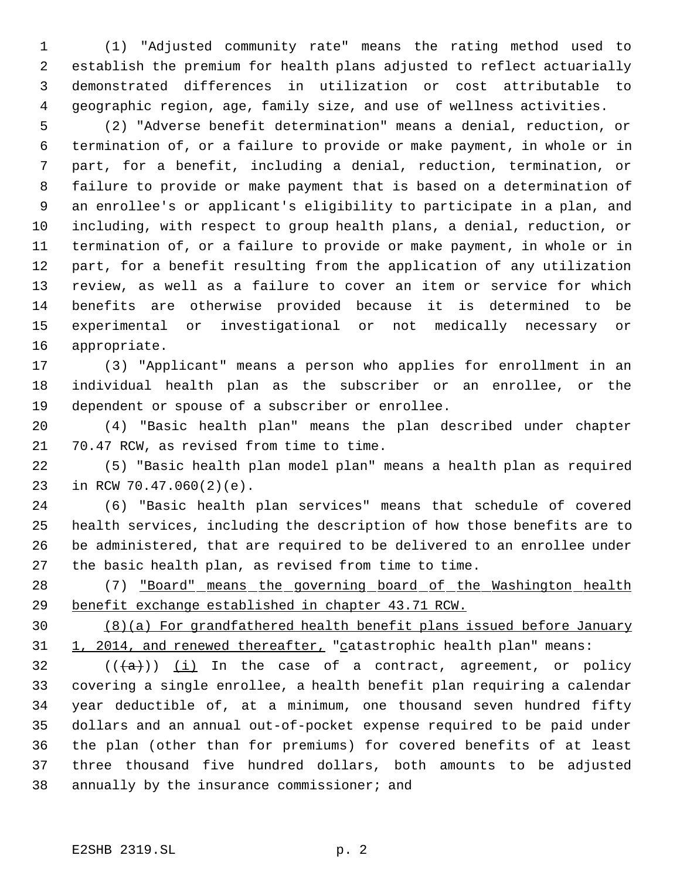(1) "Adjusted community rate" means the rating method used to establish the premium for health plans adjusted to reflect actuarially demonstrated differences in utilization or cost attributable to geographic region, age, family size, and use of wellness activities.

 (2) "Adverse benefit determination" means a denial, reduction, or termination of, or a failure to provide or make payment, in whole or in part, for a benefit, including a denial, reduction, termination, or failure to provide or make payment that is based on a determination of an enrollee's or applicant's eligibility to participate in a plan, and including, with respect to group health plans, a denial, reduction, or termination of, or a failure to provide or make payment, in whole or in part, for a benefit resulting from the application of any utilization review, as well as a failure to cover an item or service for which benefits are otherwise provided because it is determined to be experimental or investigational or not medically necessary or appropriate.

 (3) "Applicant" means a person who applies for enrollment in an individual health plan as the subscriber or an enrollee, or the dependent or spouse of a subscriber or enrollee.

 (4) "Basic health plan" means the plan described under chapter 70.47 RCW, as revised from time to time.

 (5) "Basic health plan model plan" means a health plan as required in RCW 70.47.060(2)(e).

 (6) "Basic health plan services" means that schedule of covered health services, including the description of how those benefits are to be administered, that are required to be delivered to an enrollee under the basic health plan, as revised from time to time.

28 (7) "Board" means the governing board of the Washington health benefit exchange established in chapter 43.71 RCW.

 (8)(a) For grandfathered health benefit plans issued before January 31 1, 2014, and renewed thereafter, "catastrophic health plan" means:

 (( $\left(\frac{1}{2}\right)$ ) (i) In the case of a contract, agreement, or policy covering a single enrollee, a health benefit plan requiring a calendar year deductible of, at a minimum, one thousand seven hundred fifty dollars and an annual out-of-pocket expense required to be paid under the plan (other than for premiums) for covered benefits of at least three thousand five hundred dollars, both amounts to be adjusted annually by the insurance commissioner; and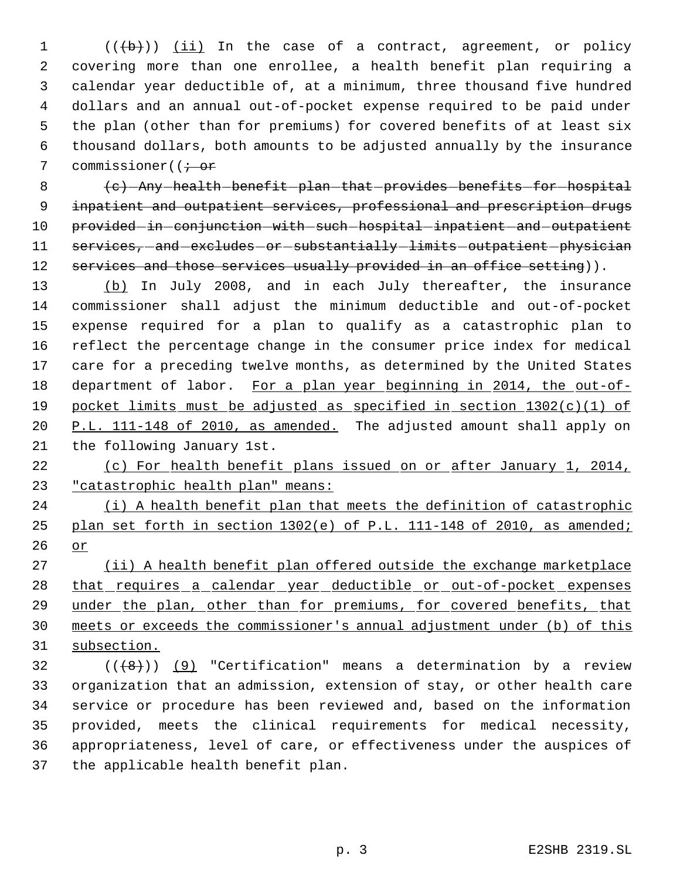1 (((b))) (ii) In the case of a contract, agreement, or policy covering more than one enrollee, a health benefit plan requiring a calendar year deductible of, at a minimum, three thousand five hundred dollars and an annual out-of-pocket expense required to be paid under the plan (other than for premiums) for covered benefits of at least six thousand dollars, both amounts to be adjusted annually by the insurance 7 commissioner( $\overline{(i + or)}$ 

8 (c) -Any health benefit plan that provides benefits for hospital inpatient and outpatient services, professional and prescription drugs 10 provided-in-conjunction-with-such-hospital-inpatient-and-outpatient 11 services, and excludes or substantially limits outpatient physician 12 services and those services usually provided in an office setting)).

13 (b) In July 2008, and in each July thereafter, the insurance commissioner shall adjust the minimum deductible and out-of-pocket expense required for a plan to qualify as a catastrophic plan to reflect the percentage change in the consumer price index for medical care for a preceding twelve months, as determined by the United States 18 department of labor. For a plan year beginning in 2014, the out-of- pocket limits must be adjusted as specified in section 1302(c)(1) of 20 P.L. 111-148 of 2010, as amended. The adjusted amount shall apply on the following January 1st.

 (c) For health benefit plans issued on or after January 1, 2014, "catastrophic health plan" means:

24 (i) A health benefit plan that meets the definition of catastrophic plan set forth in section 1302(e) of P.L. 111-148 of 2010, as amended; or

27 (ii) A health benefit plan offered outside the exchange marketplace 28 that requires a calendar year deductible or out-of-pocket expenses 29 under the plan, other than for premiums, for covered benefits, that meets or exceeds the commissioner's annual adjustment under (b) of this subsection.

 (( $(8)$ )) (9) "Certification" means a determination by a review organization that an admission, extension of stay, or other health care service or procedure has been reviewed and, based on the information provided, meets the clinical requirements for medical necessity, appropriateness, level of care, or effectiveness under the auspices of the applicable health benefit plan.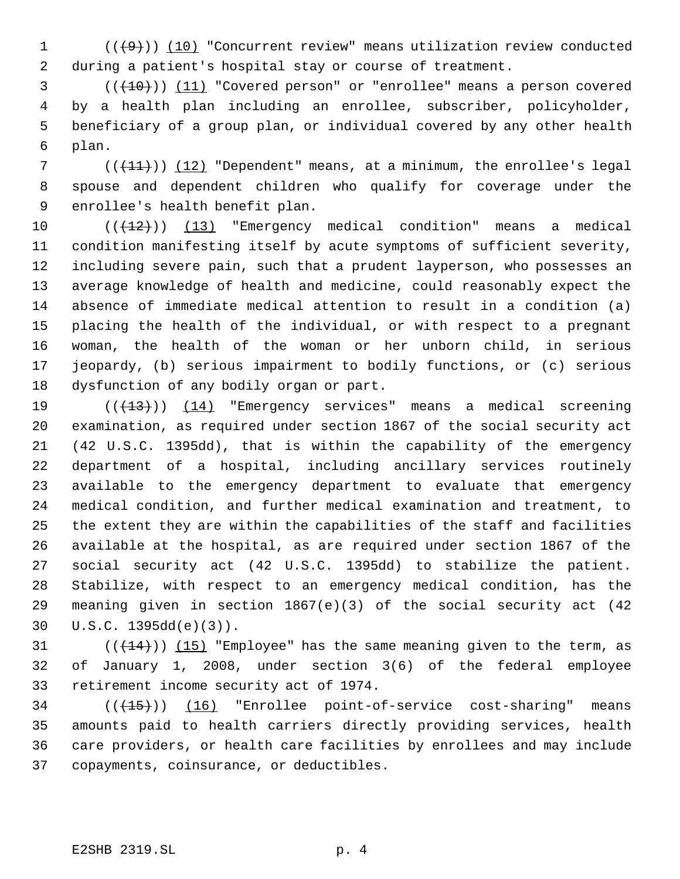1  $((+9))$  (10) "Concurrent review" means utilization review conducted during a patient's hospital stay or course of treatment.

 (((10))) (11) "Covered person" or "enrollee" means a person covered by a health plan including an enrollee, subscriber, policyholder, beneficiary of a group plan, or individual covered by any other health plan.

 $((+11))$  (12) "Dependent" means, at a minimum, the enrollee's legal spouse and dependent children who qualify for coverage under the enrollee's health benefit plan.

10 (( $\left(\frac{12}{12}\right)$ ) (13) "Emergency medical condition" means a medical condition manifesting itself by acute symptoms of sufficient severity, including severe pain, such that a prudent layperson, who possesses an average knowledge of health and medicine, could reasonably expect the absence of immediate medical attention to result in a condition (a) placing the health of the individual, or with respect to a pregnant woman, the health of the woman or her unborn child, in serious jeopardy, (b) serious impairment to bodily functions, or (c) serious dysfunction of any bodily organ or part.

 $((+13))$  (14) "Emergency services" means a medical screening examination, as required under section 1867 of the social security act (42 U.S.C. 1395dd), that is within the capability of the emergency department of a hospital, including ancillary services routinely available to the emergency department to evaluate that emergency medical condition, and further medical examination and treatment, to the extent they are within the capabilities of the staff and facilities available at the hospital, as are required under section 1867 of the social security act (42 U.S.C. 1395dd) to stabilize the patient. Stabilize, with respect to an emergency medical condition, has the meaning given in section 1867(e)(3) of the social security act (42 U.S.C. 1395dd(e)(3)).

31  $((+14))$   $(15)$  "Employee" has the same meaning given to the term, as of January 1, 2008, under section 3(6) of the federal employee retirement income security act of 1974.

34 (( $\left(\frac{15}{15}\right)$ ) (16) "Enrollee point-of-service cost-sharing" means amounts paid to health carriers directly providing services, health care providers, or health care facilities by enrollees and may include copayments, coinsurance, or deductibles.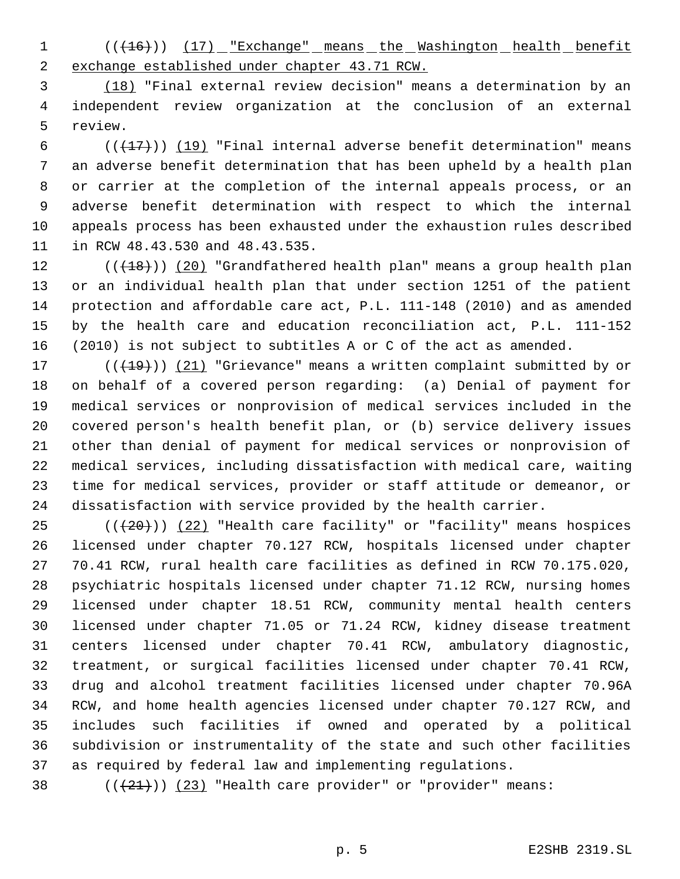1 (( $(16)$ )) (17) "Exchange" means the Washington health benefit exchange established under chapter 43.71 RCW.

 (18) "Final external review decision" means a determination by an independent review organization at the conclusion of an external review.

 $((+17))$   $(19)$  "Final internal adverse benefit determination" means an adverse benefit determination that has been upheld by a health plan or carrier at the completion of the internal appeals process, or an adverse benefit determination with respect to which the internal appeals process has been exhausted under the exhaustion rules described in RCW 48.43.530 and 48.43.535.

 $((+18))$   $(20)$  "Grandfathered health plan" means a group health plan or an individual health plan that under section 1251 of the patient protection and affordable care act, P.L. 111-148 (2010) and as amended by the health care and education reconciliation act, P.L. 111-152 (2010) is not subject to subtitles A or C of the act as amended.

17 (((19))) (21) "Grievance" means a written complaint submitted by or on behalf of a covered person regarding: (a) Denial of payment for medical services or nonprovision of medical services included in the covered person's health benefit plan, or (b) service delivery issues other than denial of payment for medical services or nonprovision of medical services, including dissatisfaction with medical care, waiting time for medical services, provider or staff attitude or demeanor, or dissatisfaction with service provided by the health carrier.

 $((+20))$   $(22)$  "Health care facility" or "facility" means hospices licensed under chapter 70.127 RCW, hospitals licensed under chapter 70.41 RCW, rural health care facilities as defined in RCW 70.175.020, psychiatric hospitals licensed under chapter 71.12 RCW, nursing homes licensed under chapter 18.51 RCW, community mental health centers licensed under chapter 71.05 or 71.24 RCW, kidney disease treatment centers licensed under chapter 70.41 RCW, ambulatory diagnostic, treatment, or surgical facilities licensed under chapter 70.41 RCW, drug and alcohol treatment facilities licensed under chapter 70.96A RCW, and home health agencies licensed under chapter 70.127 RCW, and includes such facilities if owned and operated by a political subdivision or instrumentality of the state and such other facilities as required by federal law and implementing regulations.

38  $((+21))$   $(23)$  "Health care provider" or "provider" means: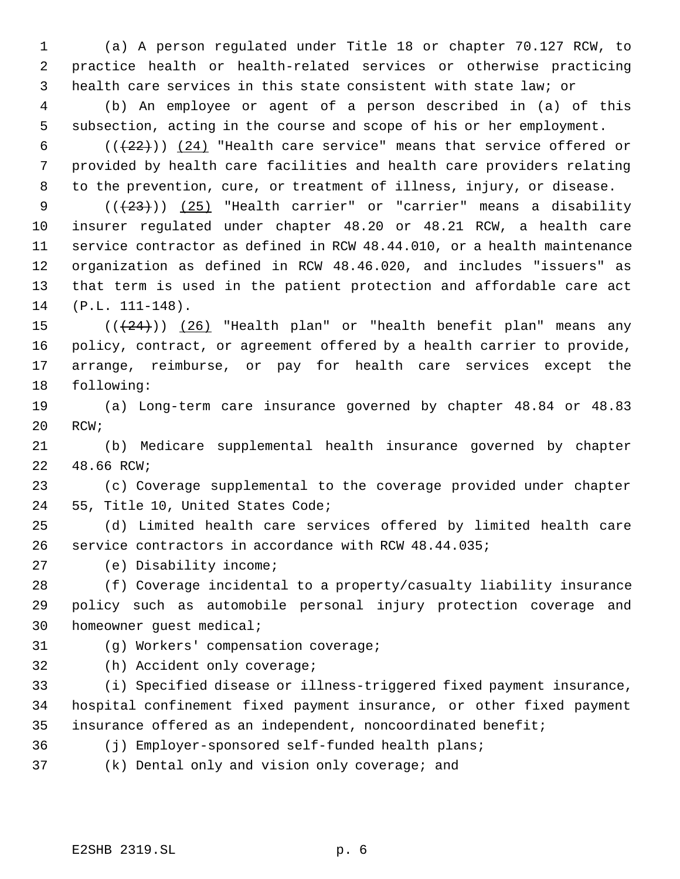(a) A person regulated under Title 18 or chapter 70.127 RCW, to practice health or health-related services or otherwise practicing health care services in this state consistent with state law; or

 (b) An employee or agent of a person described in (a) of this subsection, acting in the course and scope of his or her employment.

 $((+22))$   $(24)$  "Health care service" means that service offered or provided by health care facilities and health care providers relating to the prevention, cure, or treatment of illness, injury, or disease.

 $((+23))$   $(25)$  "Health carrier" or "carrier" means a disability insurer regulated under chapter 48.20 or 48.21 RCW, a health care service contractor as defined in RCW 48.44.010, or a health maintenance organization as defined in RCW 48.46.020, and includes "issuers" as that term is used in the patient protection and affordable care act (P.L. 111-148).

 $((+24))$   $(26)$  "Health plan" or "health benefit plan" means any policy, contract, or agreement offered by a health carrier to provide, arrange, reimburse, or pay for health care services except the following:

 (a) Long-term care insurance governed by chapter 48.84 or 48.83 RCW;

 (b) Medicare supplemental health insurance governed by chapter 48.66 RCW;

 (c) Coverage supplemental to the coverage provided under chapter 55, Title 10, United States Code;

 (d) Limited health care services offered by limited health care service contractors in accordance with RCW 48.44.035;

(e) Disability income;

 (f) Coverage incidental to a property/casualty liability insurance policy such as automobile personal injury protection coverage and homeowner guest medical;

(g) Workers' compensation coverage;

(h) Accident only coverage;

 (i) Specified disease or illness-triggered fixed payment insurance, hospital confinement fixed payment insurance, or other fixed payment insurance offered as an independent, noncoordinated benefit;

(j) Employer-sponsored self-funded health plans;

(k) Dental only and vision only coverage; and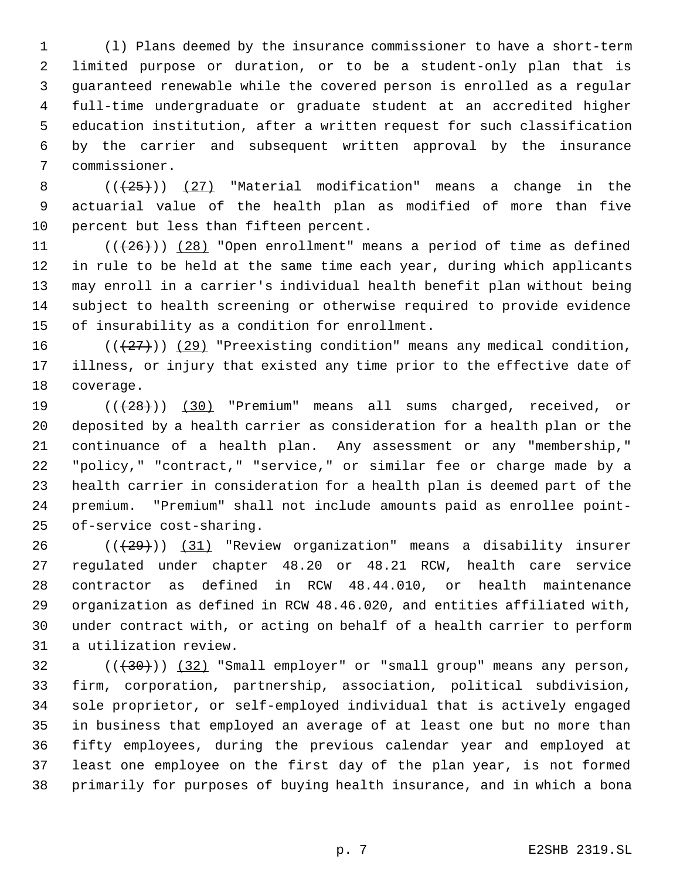(l) Plans deemed by the insurance commissioner to have a short-term limited purpose or duration, or to be a student-only plan that is guaranteed renewable while the covered person is enrolled as a regular full-time undergraduate or graduate student at an accredited higher education institution, after a written request for such classification by the carrier and subsequent written approval by the insurance commissioner.

8  $((+25))$   $(27)$  "Material modification" means a change in the actuarial value of the health plan as modified of more than five percent but less than fifteen percent.

 $((+26))$   $(28)$  "Open enrollment" means a period of time as defined in rule to be held at the same time each year, during which applicants may enroll in a carrier's individual health benefit plan without being subject to health screening or otherwise required to provide evidence of insurability as a condition for enrollment.

16  $((+27))$  (29) "Preexisting condition" means any medical condition, illness, or injury that existed any time prior to the effective date of coverage.

19 (( $(28)$ )) (30) "Premium" means all sums charged, received, or deposited by a health carrier as consideration for a health plan or the continuance of a health plan. Any assessment or any "membership," "policy," "contract," "service," or similar fee or charge made by a health carrier in consideration for a health plan is deemed part of the premium. "Premium" shall not include amounts paid as enrollee point-of-service cost-sharing.

 (( $(29)$ )) (31) "Review organization" means a disability insurer regulated under chapter 48.20 or 48.21 RCW, health care service contractor as defined in RCW 48.44.010, or health maintenance organization as defined in RCW 48.46.020, and entities affiliated with, under contract with, or acting on behalf of a health carrier to perform a utilization review.

 ( $(\overline{30})$ )  $(32)$  "Small employer" or "small group" means any person, firm, corporation, partnership, association, political subdivision, sole proprietor, or self-employed individual that is actively engaged in business that employed an average of at least one but no more than fifty employees, during the previous calendar year and employed at least one employee on the first day of the plan year, is not formed primarily for purposes of buying health insurance, and in which a bona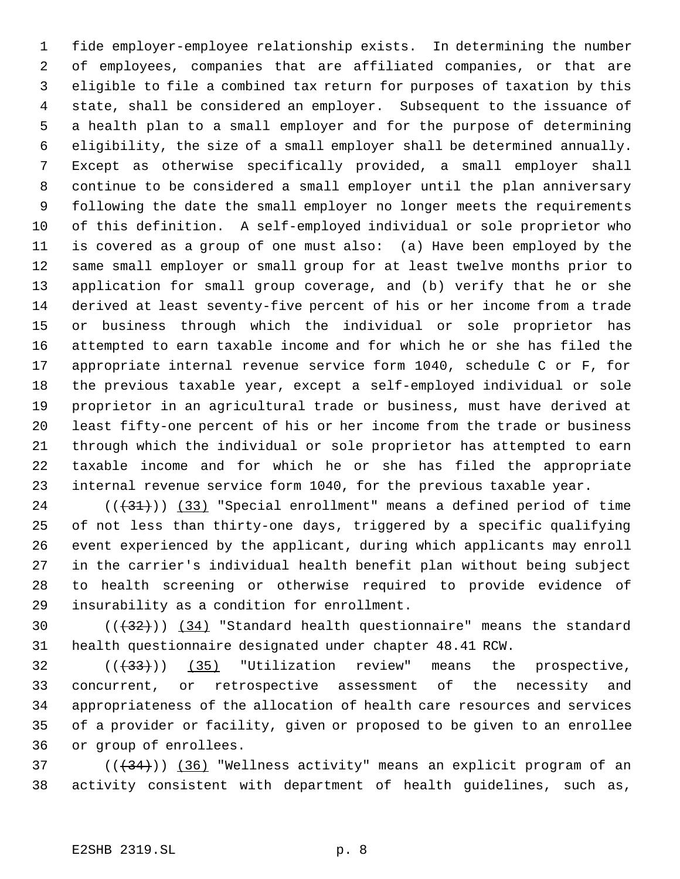fide employer-employee relationship exists. In determining the number of employees, companies that are affiliated companies, or that are eligible to file a combined tax return for purposes of taxation by this state, shall be considered an employer. Subsequent to the issuance of a health plan to a small employer and for the purpose of determining eligibility, the size of a small employer shall be determined annually. Except as otherwise specifically provided, a small employer shall continue to be considered a small employer until the plan anniversary following the date the small employer no longer meets the requirements of this definition. A self-employed individual or sole proprietor who is covered as a group of one must also: (a) Have been employed by the same small employer or small group for at least twelve months prior to application for small group coverage, and (b) verify that he or she derived at least seventy-five percent of his or her income from a trade or business through which the individual or sole proprietor has attempted to earn taxable income and for which he or she has filed the appropriate internal revenue service form 1040, schedule C or F, for the previous taxable year, except a self-employed individual or sole proprietor in an agricultural trade or business, must have derived at least fifty-one percent of his or her income from the trade or business through which the individual or sole proprietor has attempted to earn taxable income and for which he or she has filed the appropriate internal revenue service form 1040, for the previous taxable year.

 ( $(\frac{31}{})$ ) (33) "Special enrollment" means a defined period of time of not less than thirty-one days, triggered by a specific qualifying event experienced by the applicant, during which applicants may enroll in the carrier's individual health benefit plan without being subject to health screening or otherwise required to provide evidence of insurability as a condition for enrollment.

30  $((+32))$   $(34)$  "Standard health questionnaire" means the standard health questionnaire designated under chapter 48.41 RCW.

 ( $(\overline{33})$ ) ( $35$ ) "Utilization review" means the prospective, concurrent, or retrospective assessment of the necessity and appropriateness of the allocation of health care resources and services of a provider or facility, given or proposed to be given to an enrollee or group of enrollees.

 ( $(\frac{34}{})$ ) (36) "Wellness activity" means an explicit program of an activity consistent with department of health guidelines, such as,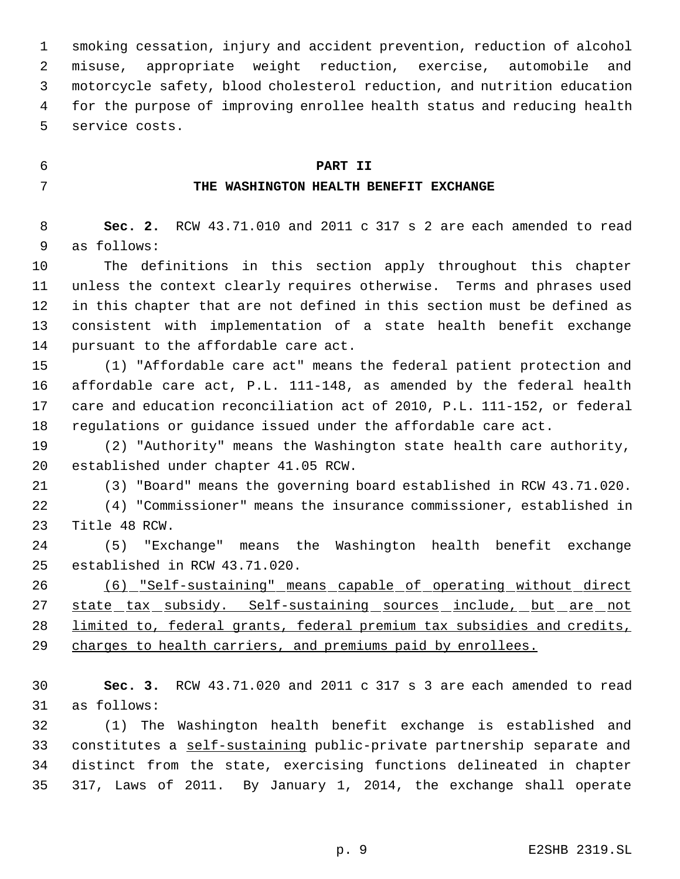smoking cessation, injury and accident prevention, reduction of alcohol misuse, appropriate weight reduction, exercise, automobile and motorcycle safety, blood cholesterol reduction, and nutrition education for the purpose of improving enrollee health status and reducing health service costs.

# **PART II**

# **THE WASHINGTON HEALTH BENEFIT EXCHANGE**

 **Sec. 2.** RCW 43.71.010 and 2011 c 317 s 2 are each amended to read as follows:

 The definitions in this section apply throughout this chapter unless the context clearly requires otherwise. Terms and phrases used in this chapter that are not defined in this section must be defined as consistent with implementation of a state health benefit exchange pursuant to the affordable care act.

 (1) "Affordable care act" means the federal patient protection and affordable care act, P.L. 111-148, as amended by the federal health care and education reconciliation act of 2010, P.L. 111-152, or federal regulations or guidance issued under the affordable care act.

 (2) "Authority" means the Washington state health care authority, established under chapter 41.05 RCW.

(3) "Board" means the governing board established in RCW 43.71.020.

 (4) "Commissioner" means the insurance commissioner, established in Title 48 RCW.

 (5) "Exchange" means the Washington health benefit exchange established in RCW 43.71.020.

 (6) "Self-sustaining" means capable of operating without direct 27 state\_tax\_subsidy. Self-sustaining\_sources\_include,\_but\_are\_not limited to, federal grants, federal premium tax subsidies and credits, 29 charges to health carriers, and premiums paid by enrollees.

 **Sec. 3.** RCW 43.71.020 and 2011 c 317 s 3 are each amended to read as follows:

 (1) The Washington health benefit exchange is established and constitutes a self-sustaining public-private partnership separate and distinct from the state, exercising functions delineated in chapter 317, Laws of 2011. By January 1, 2014, the exchange shall operate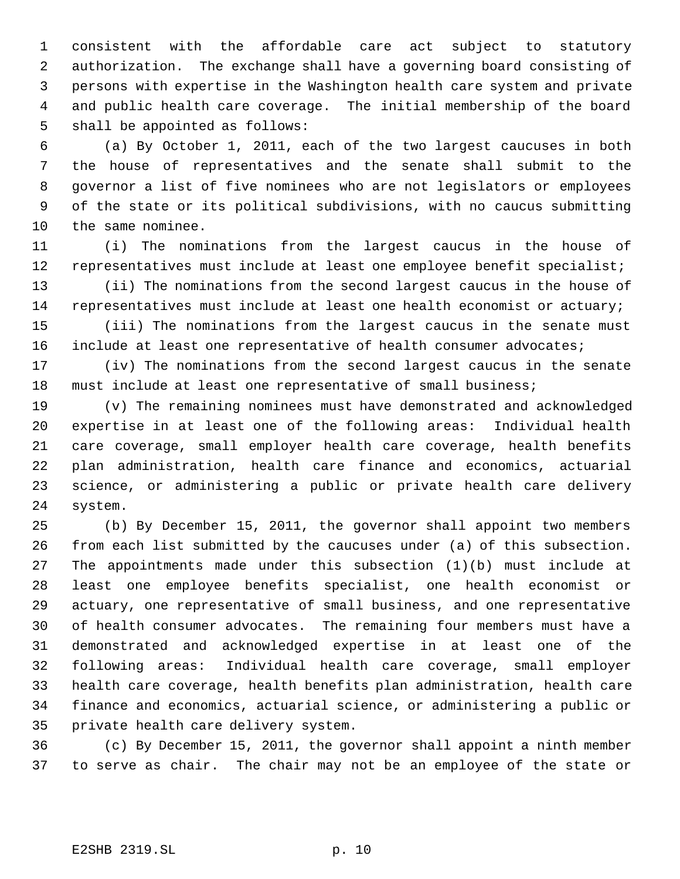consistent with the affordable care act subject to statutory authorization. The exchange shall have a governing board consisting of persons with expertise in the Washington health care system and private and public health care coverage. The initial membership of the board shall be appointed as follows:

 (a) By October 1, 2011, each of the two largest caucuses in both the house of representatives and the senate shall submit to the governor a list of five nominees who are not legislators or employees of the state or its political subdivisions, with no caucus submitting the same nominee.

 (i) The nominations from the largest caucus in the house of representatives must include at least one employee benefit specialist;

 (ii) The nominations from the second largest caucus in the house of representatives must include at least one health economist or actuary;

 (iii) The nominations from the largest caucus in the senate must 16 include at least one representative of health consumer advocates;

 (iv) The nominations from the second largest caucus in the senate must include at least one representative of small business;

 (v) The remaining nominees must have demonstrated and acknowledged expertise in at least one of the following areas: Individual health care coverage, small employer health care coverage, health benefits plan administration, health care finance and economics, actuarial science, or administering a public or private health care delivery system.

 (b) By December 15, 2011, the governor shall appoint two members from each list submitted by the caucuses under (a) of this subsection. The appointments made under this subsection (1)(b) must include at least one employee benefits specialist, one health economist or actuary, one representative of small business, and one representative of health consumer advocates. The remaining four members must have a demonstrated and acknowledged expertise in at least one of the following areas: Individual health care coverage, small employer health care coverage, health benefits plan administration, health care finance and economics, actuarial science, or administering a public or private health care delivery system.

 (c) By December 15, 2011, the governor shall appoint a ninth member to serve as chair. The chair may not be an employee of the state or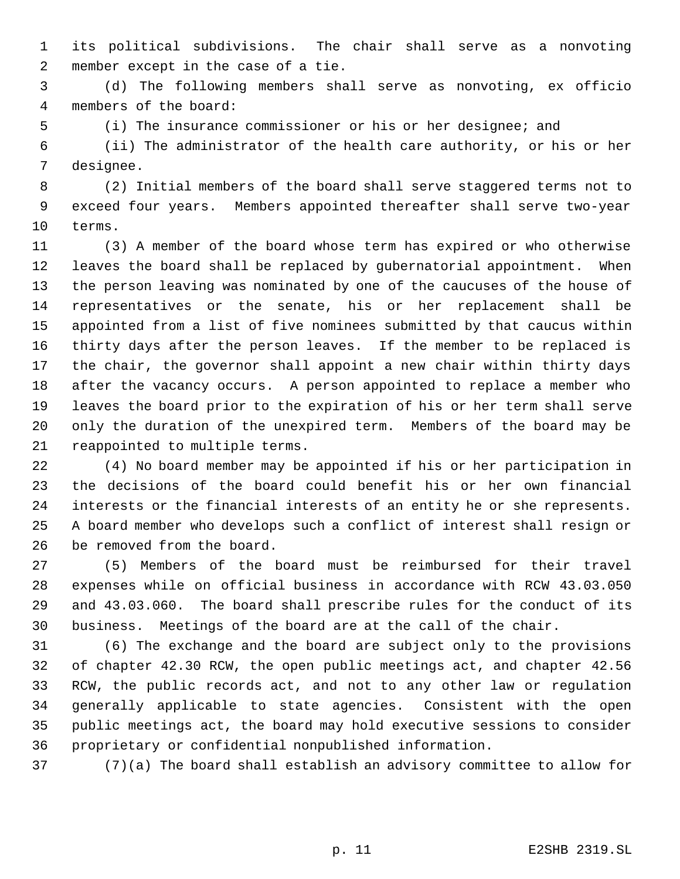its political subdivisions. The chair shall serve as a nonvoting member except in the case of a tie.

 (d) The following members shall serve as nonvoting, ex officio members of the board:

(i) The insurance commissioner or his or her designee; and

 (ii) The administrator of the health care authority, or his or her designee.

 (2) Initial members of the board shall serve staggered terms not to exceed four years. Members appointed thereafter shall serve two-year terms.

 (3) A member of the board whose term has expired or who otherwise leaves the board shall be replaced by gubernatorial appointment. When the person leaving was nominated by one of the caucuses of the house of representatives or the senate, his or her replacement shall be appointed from a list of five nominees submitted by that caucus within thirty days after the person leaves. If the member to be replaced is the chair, the governor shall appoint a new chair within thirty days after the vacancy occurs. A person appointed to replace a member who leaves the board prior to the expiration of his or her term shall serve only the duration of the unexpired term. Members of the board may be reappointed to multiple terms.

 (4) No board member may be appointed if his or her participation in the decisions of the board could benefit his or her own financial interests or the financial interests of an entity he or she represents. A board member who develops such a conflict of interest shall resign or be removed from the board.

 (5) Members of the board must be reimbursed for their travel expenses while on official business in accordance with RCW 43.03.050 and 43.03.060. The board shall prescribe rules for the conduct of its business. Meetings of the board are at the call of the chair.

 (6) The exchange and the board are subject only to the provisions of chapter 42.30 RCW, the open public meetings act, and chapter 42.56 RCW, the public records act, and not to any other law or regulation generally applicable to state agencies. Consistent with the open public meetings act, the board may hold executive sessions to consider proprietary or confidential nonpublished information.

(7)(a) The board shall establish an advisory committee to allow for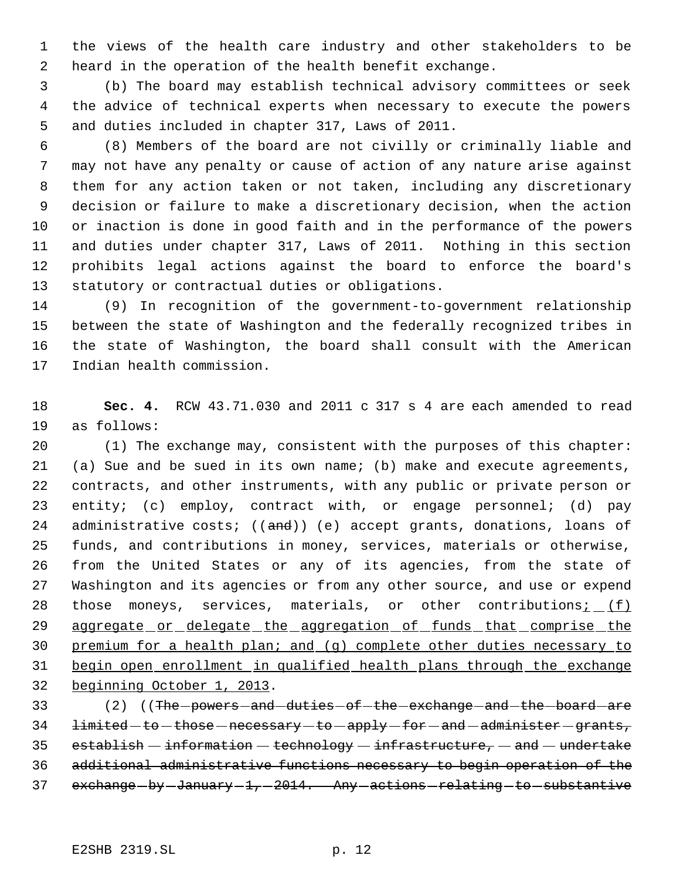the views of the health care industry and other stakeholders to be heard in the operation of the health benefit exchange.

 (b) The board may establish technical advisory committees or seek the advice of technical experts when necessary to execute the powers and duties included in chapter 317, Laws of 2011.

 (8) Members of the board are not civilly or criminally liable and may not have any penalty or cause of action of any nature arise against them for any action taken or not taken, including any discretionary decision or failure to make a discretionary decision, when the action or inaction is done in good faith and in the performance of the powers and duties under chapter 317, Laws of 2011. Nothing in this section prohibits legal actions against the board to enforce the board's statutory or contractual duties or obligations.

 (9) In recognition of the government-to-government relationship between the state of Washington and the federally recognized tribes in the state of Washington, the board shall consult with the American Indian health commission.

 **Sec. 4.** RCW 43.71.030 and 2011 c 317 s 4 are each amended to read as follows:

 (1) The exchange may, consistent with the purposes of this chapter: (a) Sue and be sued in its own name; (b) make and execute agreements, contracts, and other instruments, with any public or private person or entity; (c) employ, contract with, or engage personnel; (d) pay 24 administrative costs;  $((and))$  (e) accept grants, donations, loans of funds, and contributions in money, services, materials or otherwise, from the United States or any of its agencies, from the state of Washington and its agencies or from any other source, and use or expend 28 those moneys, services, materials, or other contributions $\frac{i}{i}$  (f) 29 aggregate or delegate the aggregation of funds that comprise the premium for a health plan; and (g) complete other duties necessary to begin open enrollment in qualified health plans through the exchange beginning October 1, 2013.

33 (2) ((The powers and duties of the exchange and the board are limited -to -those -necessary -to -apply -for -and -administer -grants, 35 establish  $-$  information  $-$  technology  $-$  infrastructure,  $-$  and  $-$  undertake additional administrative functions necessary to begin operation of the 37 exchange-by-January-1, 2014. Any-actions-relating-to-substantive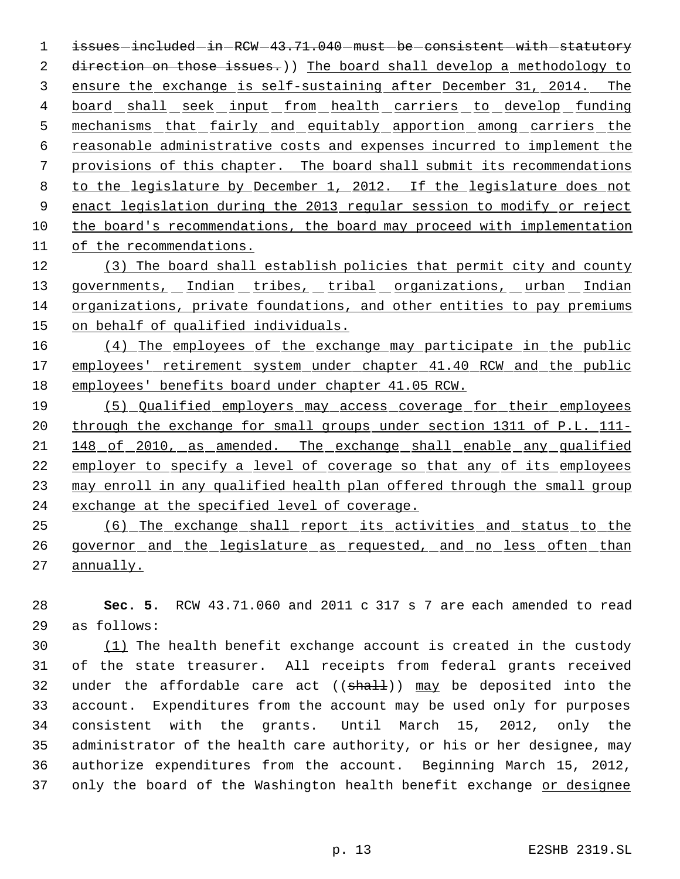1 issues included in RCW 43.71.040 must be consistent with statutory 2 direction on those issues.)) The board shall develop a methodology to ensure the exchange is self-sustaining after December 31, 2014. The 4 board shall seek input from health carriers to develop funding 5 mechanisms that fairly and equitably apportion among carriers the reasonable administrative costs and expenses incurred to implement the provisions of this chapter. The board shall submit its recommendations to the legislature by December 1, 2012. If the legislature does not enact legislation during the 2013 regular session to modify or reject the board's recommendations, the board may proceed with implementation of the recommendations.

 (3) The board shall establish policies that permit city and county 13 governments, Indian tribes, tribal organizations, urban Indian organizations, private foundations, and other entities to pay premiums 15 on behalf of qualified individuals.

 (4) The employees of the exchange may participate in the public 17 employees' retirement system under chapter 41.40 RCW and the public employees' benefits board under chapter 41.05 RCW.

 (5) Qualified employers may access coverage for their employees 20 through the exchange for small groups under section 1311 of P.L. 111-21 148 of 2010, as amended. The exchange shall enable any qualified employer to specify a level of coverage so that any of its employees may enroll in any qualified health plan offered through the small group 24 exchange at the specified level of coverage.

 (6) The exchange shall report its activities and status to the 26 governor and the legislature as requested, and no less often than annually.

 **Sec. 5.** RCW 43.71.060 and 2011 c 317 s 7 are each amended to read as follows:

 $(1)$  The health benefit exchange account is created in the custody of the state treasurer. All receipts from federal grants received 32 under the affordable care act  $((shall))$  may be deposited into the account. Expenditures from the account may be used only for purposes consistent with the grants. Until March 15, 2012, only the administrator of the health care authority, or his or her designee, may authorize expenditures from the account. Beginning March 15, 2012, 37 only the board of the Washington health benefit exchange or designee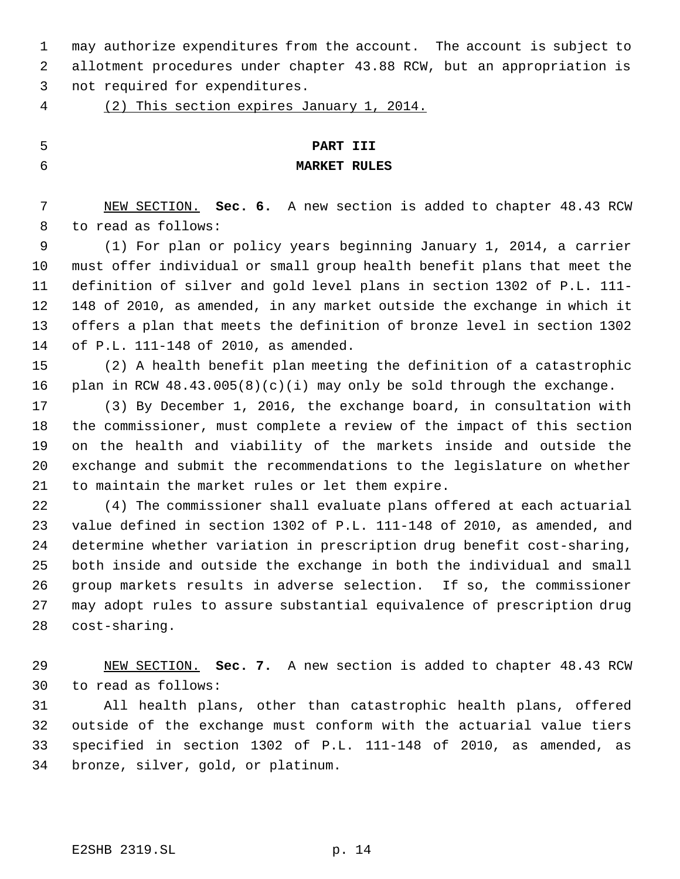may authorize expenditures from the account. The account is subject to allotment procedures under chapter 43.88 RCW, but an appropriation is not required for expenditures.

(2) This section expires January 1, 2014.

# **PART III**

# **MARKET RULES**

 NEW SECTION. **Sec. 6.** A new section is added to chapter 48.43 RCW to read as follows:

 (1) For plan or policy years beginning January 1, 2014, a carrier must offer individual or small group health benefit plans that meet the definition of silver and gold level plans in section 1302 of P.L. 111- 148 of 2010, as amended, in any market outside the exchange in which it offers a plan that meets the definition of bronze level in section 1302 of P.L. 111-148 of 2010, as amended.

 (2) A health benefit plan meeting the definition of a catastrophic plan in RCW 48.43.005(8)(c)(i) may only be sold through the exchange.

 (3) By December 1, 2016, the exchange board, in consultation with the commissioner, must complete a review of the impact of this section on the health and viability of the markets inside and outside the exchange and submit the recommendations to the legislature on whether to maintain the market rules or let them expire.

 (4) The commissioner shall evaluate plans offered at each actuarial value defined in section 1302 of P.L. 111-148 of 2010, as amended, and determine whether variation in prescription drug benefit cost-sharing, both inside and outside the exchange in both the individual and small group markets results in adverse selection. If so, the commissioner may adopt rules to assure substantial equivalence of prescription drug cost-sharing.

 NEW SECTION. **Sec. 7.** A new section is added to chapter 48.43 RCW to read as follows:

 All health plans, other than catastrophic health plans, offered outside of the exchange must conform with the actuarial value tiers specified in section 1302 of P.L. 111-148 of 2010, as amended, as bronze, silver, gold, or platinum.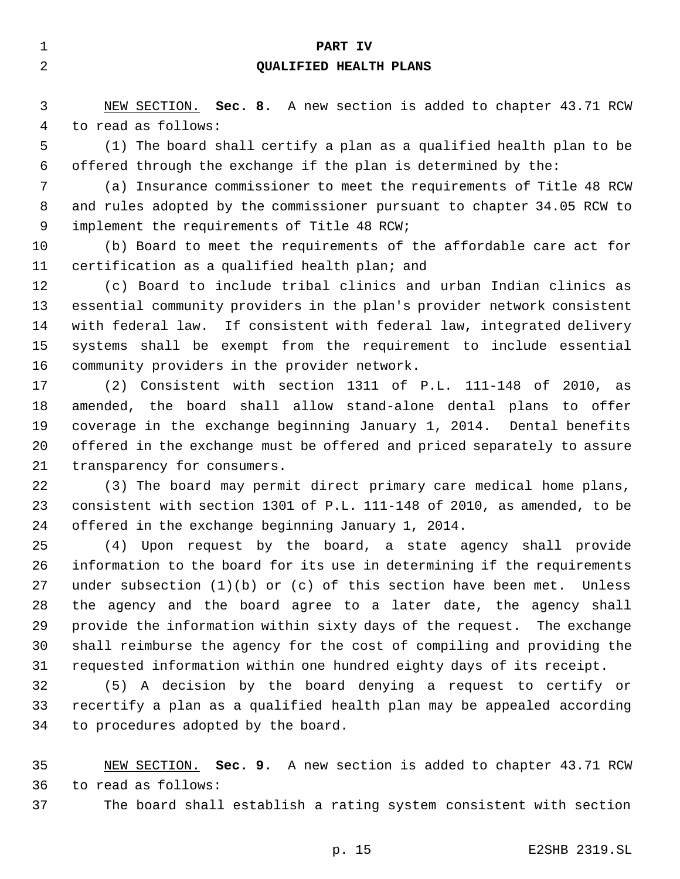| 1        | PART IV                                                                                                                                                                                                                        |
|----------|--------------------------------------------------------------------------------------------------------------------------------------------------------------------------------------------------------------------------------|
| 2        | QUALIFIED HEALTH PLANS                                                                                                                                                                                                         |
|          |                                                                                                                                                                                                                                |
| 3        | NEW SECTION. Sec. 8. A new section is added to chapter 43.71 RCW                                                                                                                                                               |
| 4        | to read as follows:                                                                                                                                                                                                            |
| 5        | (1) The board shall certify a plan as a qualified health plan to be                                                                                                                                                            |
| 6        | offered through the exchange if the plan is determined by the:                                                                                                                                                                 |
| 7        | (a) Insurance commissioner to meet the requirements of Title 48 RCW                                                                                                                                                            |
| 8        | and rules adopted by the commissioner pursuant to chapter 34.05 RCW to                                                                                                                                                         |
| 9        | implement the requirements of Title 48 RCW;                                                                                                                                                                                    |
| $10 \,$  | (b) Board to meet the requirements of the affordable care act for                                                                                                                                                              |
| 11       | certification as a qualified health plan; and                                                                                                                                                                                  |
| 12       | (c) Board to include tribal clinics and urban Indian clinics as                                                                                                                                                                |
| 13       | essential community providers in the plan's provider network consistent                                                                                                                                                        |
| 14       | with federal law. If consistent with federal law, integrated delivery                                                                                                                                                          |
| 15       | systems shall be exempt from the requirement to include essential                                                                                                                                                              |
| 16       | community providers in the provider network.                                                                                                                                                                                   |
| 17       | (2) Consistent with section 1311 of P.L. 111-148 of 2010, as                                                                                                                                                                   |
| 18       | amended, the board shall allow stand-alone dental plans to offer                                                                                                                                                               |
| 19       | coverage in the exchange beginning January 1, 2014. Dental benefits                                                                                                                                                            |
| 20       | offered in the exchange must be offered and priced separately to assure                                                                                                                                                        |
| 21       | transparency for consumers.                                                                                                                                                                                                    |
| 22       | (3) The board may permit direct primary care medical home plans,                                                                                                                                                               |
| 23       | consistent with section 1301 of P.L. 111-148 of 2010, as amended, to be                                                                                                                                                        |
| 24       | offered in the exchange beginning January 1, 2014.                                                                                                                                                                             |
| 25       | Upon request by the board, a state agency shall provide<br>(4)                                                                                                                                                                 |
| 26       | information to the board for its use in determining if the requirements                                                                                                                                                        |
| 27       | under subsection $(1)(b)$ or $(c)$ of this section have been met. Unless                                                                                                                                                       |
| 28       | the agency and the board agree to a later date, the agency shall                                                                                                                                                               |
| 29       | provide the information within sixty days of the request. The exchange                                                                                                                                                         |
| 30       | shall reimburse the agency for the cost of compiling and providing the                                                                                                                                                         |
| 31       | requested information within one hundred eighty days of its receipt.                                                                                                                                                           |
| $\Omega$ | and and some the second and a second complete the second second second and second and second and second and second and second and second and second and second and second and second and second and second and second and seco |

 (5) A decision by the board denying a request to certify or recertify a plan as a qualified health plan may be appealed according to procedures adopted by the board.

 NEW SECTION. **Sec. 9.** A new section is added to chapter 43.71 RCW to read as follows:

The board shall establish a rating system consistent with section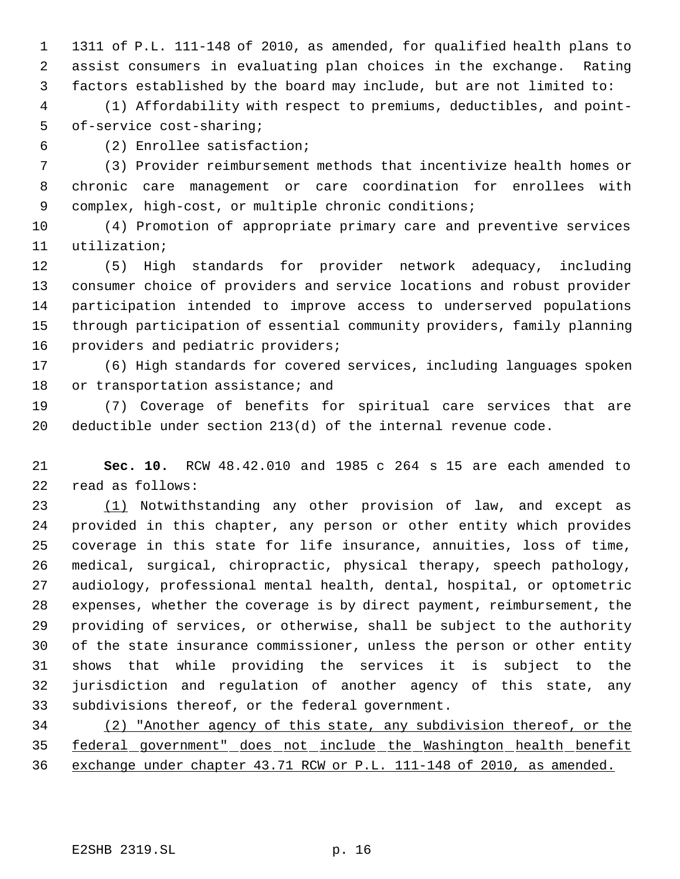1311 of P.L. 111-148 of 2010, as amended, for qualified health plans to assist consumers in evaluating plan choices in the exchange. Rating factors established by the board may include, but are not limited to:

 (1) Affordability with respect to premiums, deductibles, and point- of-service cost-sharing;

(2) Enrollee satisfaction;

 (3) Provider reimbursement methods that incentivize health homes or chronic care management or care coordination for enrollees with complex, high-cost, or multiple chronic conditions;

 (4) Promotion of appropriate primary care and preventive services utilization;

 (5) High standards for provider network adequacy, including consumer choice of providers and service locations and robust provider participation intended to improve access to underserved populations through participation of essential community providers, family planning providers and pediatric providers;

 (6) High standards for covered services, including languages spoken 18 or transportation assistance; and

 (7) Coverage of benefits for spiritual care services that are deductible under section 213(d) of the internal revenue code.

 **Sec. 10.** RCW 48.42.010 and 1985 c 264 s 15 are each amended to read as follows:

 (1) Notwithstanding any other provision of law, and except as provided in this chapter, any person or other entity which provides coverage in this state for life insurance, annuities, loss of time, medical, surgical, chiropractic, physical therapy, speech pathology, audiology, professional mental health, dental, hospital, or optometric expenses, whether the coverage is by direct payment, reimbursement, the providing of services, or otherwise, shall be subject to the authority of the state insurance commissioner, unless the person or other entity shows that while providing the services it is subject to the jurisdiction and regulation of another agency of this state, any subdivisions thereof, or the federal government.

 (2) "Another agency of this state, any subdivision thereof, or the federal government" does not include the Washington health benefit exchange under chapter 43.71 RCW or P.L. 111-148 of 2010, as amended.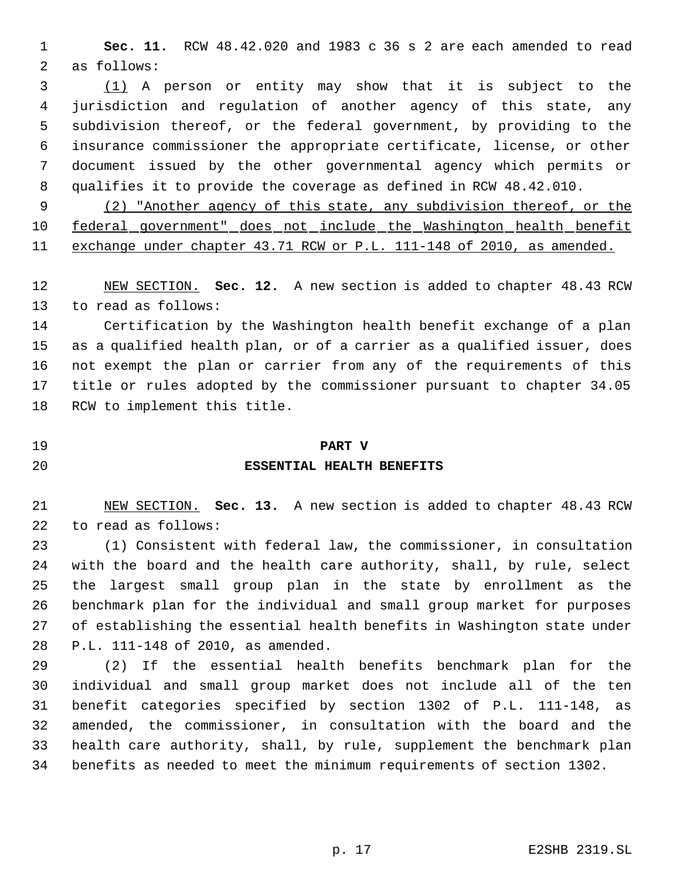**Sec. 11.** RCW 48.42.020 and 1983 c 36 s 2 are each amended to read as follows:

 (1) A person or entity may show that it is subject to the jurisdiction and regulation of another agency of this state, any subdivision thereof, or the federal government, by providing to the insurance commissioner the appropriate certificate, license, or other document issued by the other governmental agency which permits or qualifies it to provide the coverage as defined in RCW 48.42.010.

 (2) "Another agency of this state, any subdivision thereof, or the 10 federal government" does not include the Washington health benefit exchange under chapter 43.71 RCW or P.L. 111-148 of 2010, as amended.

 NEW SECTION. **Sec. 12.** A new section is added to chapter 48.43 RCW to read as follows:

 Certification by the Washington health benefit exchange of a plan as a qualified health plan, or of a carrier as a qualified issuer, does not exempt the plan or carrier from any of the requirements of this title or rules adopted by the commissioner pursuant to chapter 34.05 RCW to implement this title.

# **PART V**

### **ESSENTIAL HEALTH BENEFITS**

 NEW SECTION. **Sec. 13.** A new section is added to chapter 48.43 RCW to read as follows:

 (1) Consistent with federal law, the commissioner, in consultation with the board and the health care authority, shall, by rule, select the largest small group plan in the state by enrollment as the benchmark plan for the individual and small group market for purposes of establishing the essential health benefits in Washington state under P.L. 111-148 of 2010, as amended.

 (2) If the essential health benefits benchmark plan for the individual and small group market does not include all of the ten benefit categories specified by section 1302 of P.L. 111-148, as amended, the commissioner, in consultation with the board and the health care authority, shall, by rule, supplement the benchmark plan benefits as needed to meet the minimum requirements of section 1302.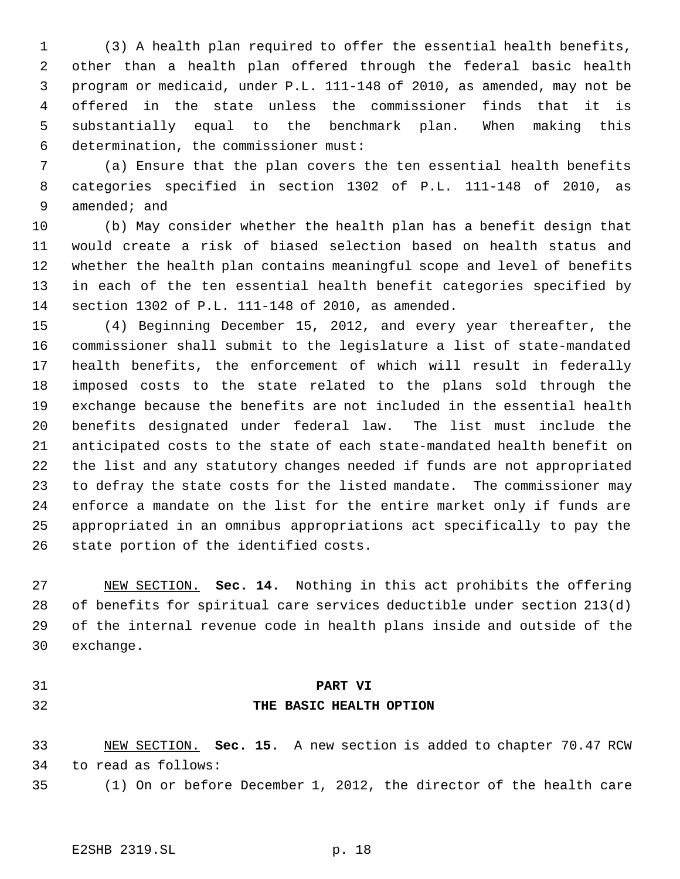(3) A health plan required to offer the essential health benefits, other than a health plan offered through the federal basic health program or medicaid, under P.L. 111-148 of 2010, as amended, may not be offered in the state unless the commissioner finds that it is substantially equal to the benchmark plan. When making this determination, the commissioner must:

 (a) Ensure that the plan covers the ten essential health benefits categories specified in section 1302 of P.L. 111-148 of 2010, as amended; and

 (b) May consider whether the health plan has a benefit design that would create a risk of biased selection based on health status and whether the health plan contains meaningful scope and level of benefits in each of the ten essential health benefit categories specified by section 1302 of P.L. 111-148 of 2010, as amended.

 (4) Beginning December 15, 2012, and every year thereafter, the commissioner shall submit to the legislature a list of state-mandated health benefits, the enforcement of which will result in federally imposed costs to the state related to the plans sold through the exchange because the benefits are not included in the essential health benefits designated under federal law. The list must include the anticipated costs to the state of each state-mandated health benefit on the list and any statutory changes needed if funds are not appropriated to defray the state costs for the listed mandate. The commissioner may enforce a mandate on the list for the entire market only if funds are appropriated in an omnibus appropriations act specifically to pay the state portion of the identified costs.

 NEW SECTION. **Sec. 14.** Nothing in this act prohibits the offering of benefits for spiritual care services deductible under section 213(d) of the internal revenue code in health plans inside and outside of the exchange.

# **PART VI**

## **THE BASIC HEALTH OPTION**

 NEW SECTION. **Sec. 15.** A new section is added to chapter 70.47 RCW to read as follows:

(1) On or before December 1, 2012, the director of the health care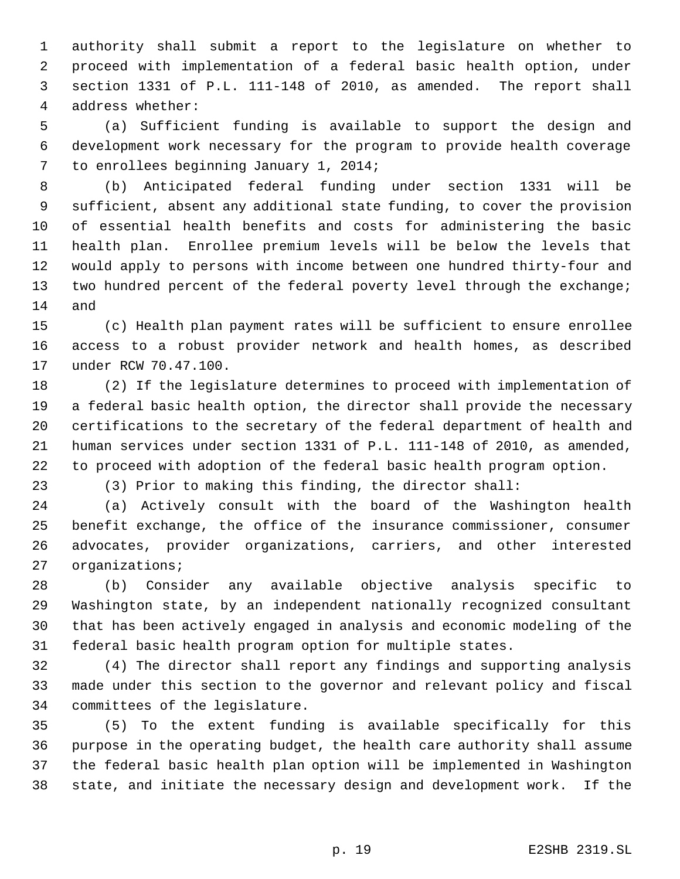authority shall submit a report to the legislature on whether to proceed with implementation of a federal basic health option, under section 1331 of P.L. 111-148 of 2010, as amended. The report shall address whether:

 (a) Sufficient funding is available to support the design and development work necessary for the program to provide health coverage to enrollees beginning January 1, 2014;

 (b) Anticipated federal funding under section 1331 will be sufficient, absent any additional state funding, to cover the provision of essential health benefits and costs for administering the basic health plan. Enrollee premium levels will be below the levels that would apply to persons with income between one hundred thirty-four and 13 two hundred percent of the federal poverty level through the exchange; and

 (c) Health plan payment rates will be sufficient to ensure enrollee access to a robust provider network and health homes, as described under RCW 70.47.100.

 (2) If the legislature determines to proceed with implementation of a federal basic health option, the director shall provide the necessary certifications to the secretary of the federal department of health and human services under section 1331 of P.L. 111-148 of 2010, as amended, to proceed with adoption of the federal basic health program option.

(3) Prior to making this finding, the director shall:

 (a) Actively consult with the board of the Washington health benefit exchange, the office of the insurance commissioner, consumer advocates, provider organizations, carriers, and other interested organizations;

 (b) Consider any available objective analysis specific to Washington state, by an independent nationally recognized consultant that has been actively engaged in analysis and economic modeling of the federal basic health program option for multiple states.

 (4) The director shall report any findings and supporting analysis made under this section to the governor and relevant policy and fiscal committees of the legislature.

 (5) To the extent funding is available specifically for this purpose in the operating budget, the health care authority shall assume the federal basic health plan option will be implemented in Washington state, and initiate the necessary design and development work. If the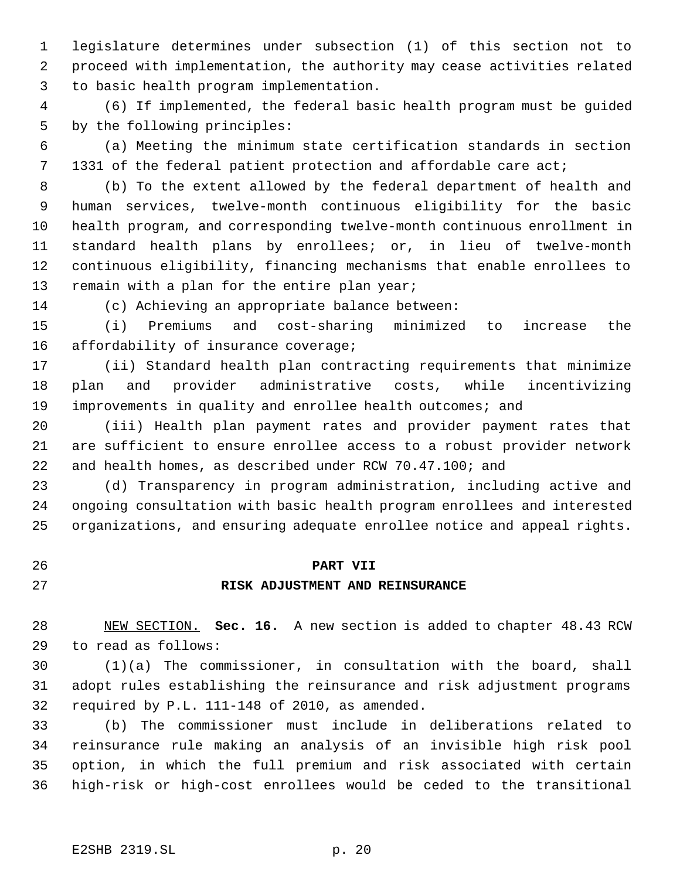legislature determines under subsection (1) of this section not to proceed with implementation, the authority may cease activities related to basic health program implementation.

 (6) If implemented, the federal basic health program must be guided by the following principles:

 (a) Meeting the minimum state certification standards in section 1331 of the federal patient protection and affordable care act;

 (b) To the extent allowed by the federal department of health and human services, twelve-month continuous eligibility for the basic health program, and corresponding twelve-month continuous enrollment in standard health plans by enrollees; or, in lieu of twelve-month continuous eligibility, financing mechanisms that enable enrollees to 13 remain with a plan for the entire plan year;

(c) Achieving an appropriate balance between:

 (i) Premiums and cost-sharing minimized to increase the 16 affordability of insurance coverage;

 (ii) Standard health plan contracting requirements that minimize plan and provider administrative costs, while incentivizing improvements in quality and enrollee health outcomes; and

 (iii) Health plan payment rates and provider payment rates that are sufficient to ensure enrollee access to a robust provider network and health homes, as described under RCW 70.47.100; and

 (d) Transparency in program administration, including active and ongoing consultation with basic health program enrollees and interested organizations, and ensuring adequate enrollee notice and appeal rights.

# **PART VII RISK ADJUSTMENT AND REINSURANCE**

 NEW SECTION. **Sec. 16.** A new section is added to chapter 48.43 RCW to read as follows:

 (1)(a) The commissioner, in consultation with the board, shall adopt rules establishing the reinsurance and risk adjustment programs required by P.L. 111-148 of 2010, as amended.

 (b) The commissioner must include in deliberations related to reinsurance rule making an analysis of an invisible high risk pool option, in which the full premium and risk associated with certain high-risk or high-cost enrollees would be ceded to the transitional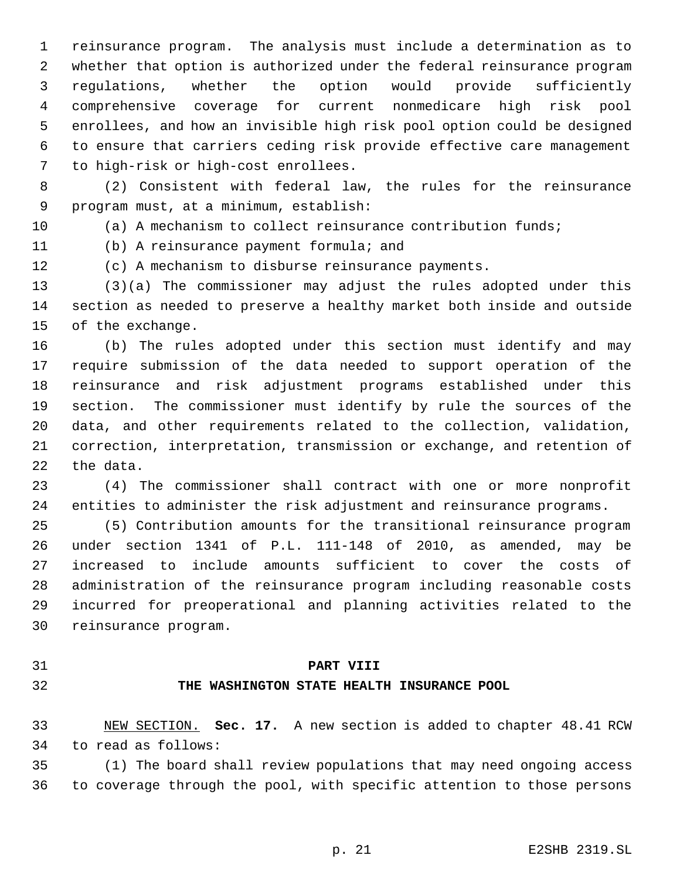reinsurance program. The analysis must include a determination as to whether that option is authorized under the federal reinsurance program regulations, whether the option would provide sufficiently comprehensive coverage for current nonmedicare high risk pool enrollees, and how an invisible high risk pool option could be designed to ensure that carriers ceding risk provide effective care management to high-risk or high-cost enrollees.

 (2) Consistent with federal law, the rules for the reinsurance program must, at a minimum, establish:

(a) A mechanism to collect reinsurance contribution funds;

(b) A reinsurance payment formula; and

(c) A mechanism to disburse reinsurance payments.

 (3)(a) The commissioner may adjust the rules adopted under this section as needed to preserve a healthy market both inside and outside of the exchange.

 (b) The rules adopted under this section must identify and may require submission of the data needed to support operation of the reinsurance and risk adjustment programs established under this section. The commissioner must identify by rule the sources of the data, and other requirements related to the collection, validation, correction, interpretation, transmission or exchange, and retention of the data.

 (4) The commissioner shall contract with one or more nonprofit entities to administer the risk adjustment and reinsurance programs.

 (5) Contribution amounts for the transitional reinsurance program under section 1341 of P.L. 111-148 of 2010, as amended, may be increased to include amounts sufficient to cover the costs of administration of the reinsurance program including reasonable costs incurred for preoperational and planning activities related to the reinsurance program.

### **PART VIII**

# **THE WASHINGTON STATE HEALTH INSURANCE POOL**

 NEW SECTION. **Sec. 17.** A new section is added to chapter 48.41 RCW to read as follows:

 (1) The board shall review populations that may need ongoing access to coverage through the pool, with specific attention to those persons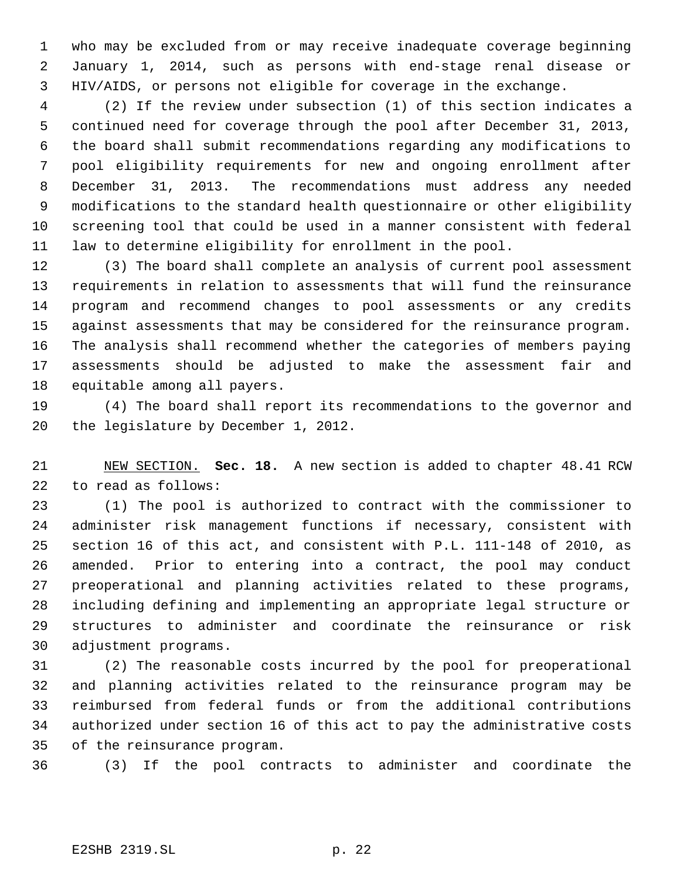who may be excluded from or may receive inadequate coverage beginning January 1, 2014, such as persons with end-stage renal disease or HIV/AIDS, or persons not eligible for coverage in the exchange.

 (2) If the review under subsection (1) of this section indicates a continued need for coverage through the pool after December 31, 2013, the board shall submit recommendations regarding any modifications to pool eligibility requirements for new and ongoing enrollment after December 31, 2013. The recommendations must address any needed modifications to the standard health questionnaire or other eligibility screening tool that could be used in a manner consistent with federal law to determine eligibility for enrollment in the pool.

 (3) The board shall complete an analysis of current pool assessment requirements in relation to assessments that will fund the reinsurance program and recommend changes to pool assessments or any credits against assessments that may be considered for the reinsurance program. The analysis shall recommend whether the categories of members paying assessments should be adjusted to make the assessment fair and equitable among all payers.

 (4) The board shall report its recommendations to the governor and the legislature by December 1, 2012.

 NEW SECTION. **Sec. 18.** A new section is added to chapter 48.41 RCW to read as follows:

 (1) The pool is authorized to contract with the commissioner to administer risk management functions if necessary, consistent with section 16 of this act, and consistent with P.L. 111-148 of 2010, as amended. Prior to entering into a contract, the pool may conduct preoperational and planning activities related to these programs, including defining and implementing an appropriate legal structure or structures to administer and coordinate the reinsurance or risk adjustment programs.

 (2) The reasonable costs incurred by the pool for preoperational and planning activities related to the reinsurance program may be reimbursed from federal funds or from the additional contributions authorized under section 16 of this act to pay the administrative costs of the reinsurance program.

(3) If the pool contracts to administer and coordinate the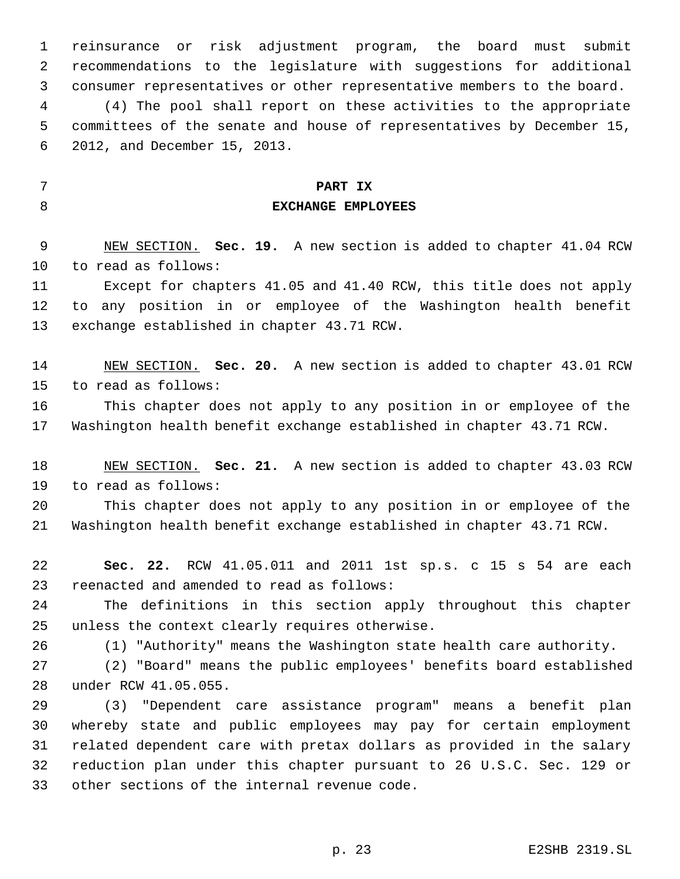reinsurance or risk adjustment program, the board must submit recommendations to the legislature with suggestions for additional consumer representatives or other representative members to the board. (4) The pool shall report on these activities to the appropriate committees of the senate and house of representatives by December 15, 2012, and December 15, 2013.

# **PART IX EXCHANGE EMPLOYEES**

 NEW SECTION. **Sec. 19.** A new section is added to chapter 41.04 RCW to read as follows:

 Except for chapters 41.05 and 41.40 RCW, this title does not apply to any position in or employee of the Washington health benefit exchange established in chapter 43.71 RCW.

 NEW SECTION. **Sec. 20.** A new section is added to chapter 43.01 RCW to read as follows:

 This chapter does not apply to any position in or employee of the Washington health benefit exchange established in chapter 43.71 RCW.

 NEW SECTION. **Sec. 21.** A new section is added to chapter 43.03 RCW to read as follows:

 This chapter does not apply to any position in or employee of the Washington health benefit exchange established in chapter 43.71 RCW.

 **Sec. 22.** RCW 41.05.011 and 2011 1st sp.s. c 15 s 54 are each reenacted and amended to read as follows:

 The definitions in this section apply throughout this chapter unless the context clearly requires otherwise.

(1) "Authority" means the Washington state health care authority.

 (2) "Board" means the public employees' benefits board established under RCW 41.05.055.

 (3) "Dependent care assistance program" means a benefit plan whereby state and public employees may pay for certain employment related dependent care with pretax dollars as provided in the salary reduction plan under this chapter pursuant to 26 U.S.C. Sec. 129 or other sections of the internal revenue code.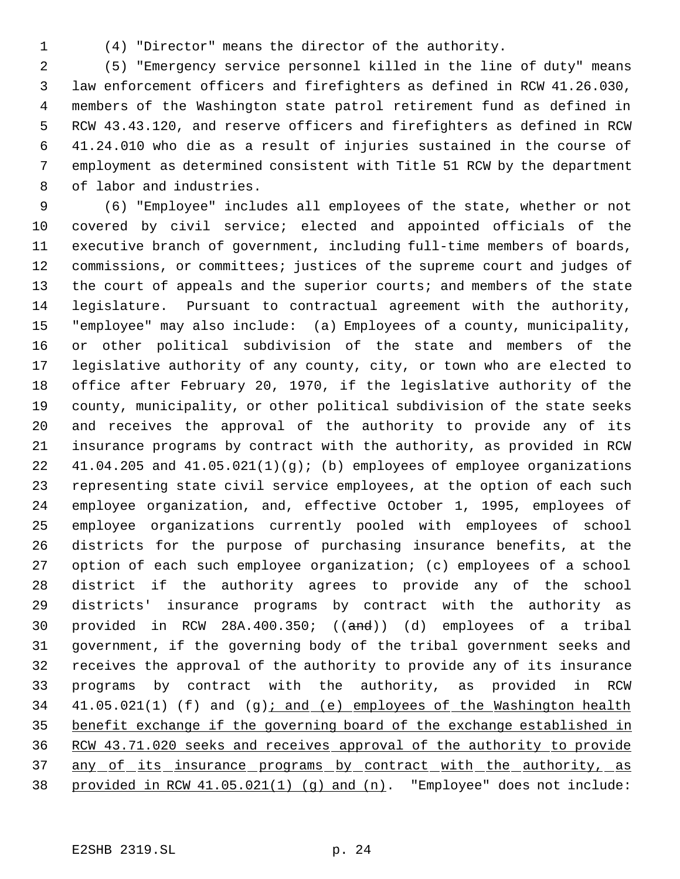- 
- (4) "Director" means the director of the authority.

 (5) "Emergency service personnel killed in the line of duty" means law enforcement officers and firefighters as defined in RCW 41.26.030, members of the Washington state patrol retirement fund as defined in RCW 43.43.120, and reserve officers and firefighters as defined in RCW 41.24.010 who die as a result of injuries sustained in the course of employment as determined consistent with Title 51 RCW by the department of labor and industries.

 (6) "Employee" includes all employees of the state, whether or not covered by civil service; elected and appointed officials of the executive branch of government, including full-time members of boards, commissions, or committees; justices of the supreme court and judges of 13 the court of appeals and the superior courts; and members of the state legislature. Pursuant to contractual agreement with the authority, "employee" may also include: (a) Employees of a county, municipality, or other political subdivision of the state and members of the legislative authority of any county, city, or town who are elected to office after February 20, 1970, if the legislative authority of the county, municipality, or other political subdivision of the state seeks and receives the approval of the authority to provide any of its insurance programs by contract with the authority, as provided in RCW 41.04.205 and 41.05.021(1)(g); (b) employees of employee organizations representing state civil service employees, at the option of each such employee organization, and, effective October 1, 1995, employees of employee organizations currently pooled with employees of school districts for the purpose of purchasing insurance benefits, at the option of each such employee organization; (c) employees of a school district if the authority agrees to provide any of the school districts' insurance programs by contract with the authority as provided in RCW 28A.400.350; ((and)) (d) employees of a tribal government, if the governing body of the tribal government seeks and receives the approval of the authority to provide any of its insurance programs by contract with the authority, as provided in RCW 34 41.05.021(1) (f) and (g); and (e) employees of the Washington health benefit exchange if the governing board of the exchange established in RCW 43.71.020 seeks and receives approval of the authority to provide 37 any of its insurance programs by contract with the authority, as provided in RCW 41.05.021(1) (g) and (n). "Employee" does not include: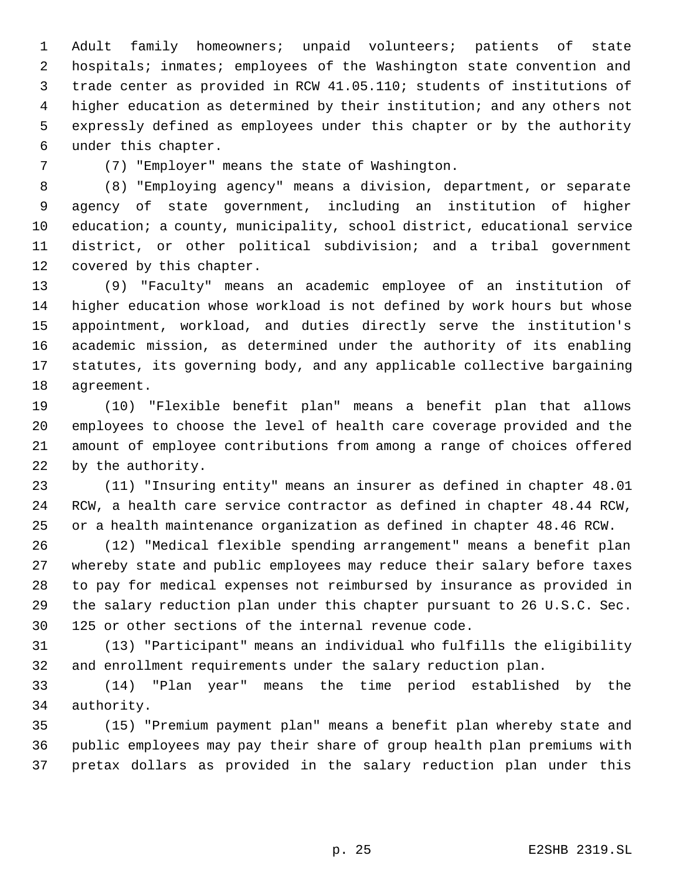Adult family homeowners; unpaid volunteers; patients of state hospitals; inmates; employees of the Washington state convention and trade center as provided in RCW 41.05.110; students of institutions of higher education as determined by their institution; and any others not expressly defined as employees under this chapter or by the authority under this chapter.

(7) "Employer" means the state of Washington.

 (8) "Employing agency" means a division, department, or separate agency of state government, including an institution of higher 10 education; a county, municipality, school district, educational service district, or other political subdivision; and a tribal government covered by this chapter.

 (9) "Faculty" means an academic employee of an institution of higher education whose workload is not defined by work hours but whose appointment, workload, and duties directly serve the institution's academic mission, as determined under the authority of its enabling statutes, its governing body, and any applicable collective bargaining agreement.

 (10) "Flexible benefit plan" means a benefit plan that allows employees to choose the level of health care coverage provided and the amount of employee contributions from among a range of choices offered by the authority.

 (11) "Insuring entity" means an insurer as defined in chapter 48.01 RCW, a health care service contractor as defined in chapter 48.44 RCW, or a health maintenance organization as defined in chapter 48.46 RCW.

 (12) "Medical flexible spending arrangement" means a benefit plan whereby state and public employees may reduce their salary before taxes to pay for medical expenses not reimbursed by insurance as provided in the salary reduction plan under this chapter pursuant to 26 U.S.C. Sec. 125 or other sections of the internal revenue code.

 (13) "Participant" means an individual who fulfills the eligibility and enrollment requirements under the salary reduction plan.

 (14) "Plan year" means the time period established by the authority.

 (15) "Premium payment plan" means a benefit plan whereby state and public employees may pay their share of group health plan premiums with pretax dollars as provided in the salary reduction plan under this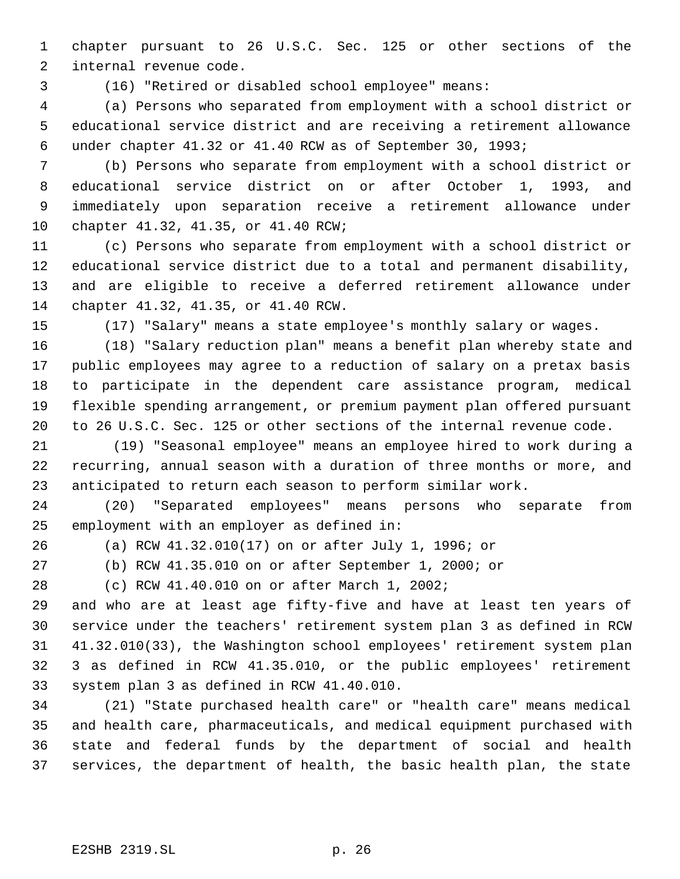chapter pursuant to 26 U.S.C. Sec. 125 or other sections of the internal revenue code.

(16) "Retired or disabled school employee" means:

 (a) Persons who separated from employment with a school district or educational service district and are receiving a retirement allowance under chapter 41.32 or 41.40 RCW as of September 30, 1993;

 (b) Persons who separate from employment with a school district or educational service district on or after October 1, 1993, and immediately upon separation receive a retirement allowance under chapter 41.32, 41.35, or 41.40 RCW;

 (c) Persons who separate from employment with a school district or educational service district due to a total and permanent disability, and are eligible to receive a deferred retirement allowance under chapter 41.32, 41.35, or 41.40 RCW.

(17) "Salary" means a state employee's monthly salary or wages.

 (18) "Salary reduction plan" means a benefit plan whereby state and public employees may agree to a reduction of salary on a pretax basis to participate in the dependent care assistance program, medical flexible spending arrangement, or premium payment plan offered pursuant to 26 U.S.C. Sec. 125 or other sections of the internal revenue code.

21 (19) "Seasonal employee" means an employee hired to work during a recurring, annual season with a duration of three months or more, and anticipated to return each season to perform similar work.

 (20) "Separated employees" means persons who separate from employment with an employer as defined in:

(a) RCW 41.32.010(17) on or after July 1, 1996; or

(b) RCW 41.35.010 on or after September 1, 2000; or

(c) RCW 41.40.010 on or after March 1, 2002;

 and who are at least age fifty-five and have at least ten years of service under the teachers' retirement system plan 3 as defined in RCW 41.32.010(33), the Washington school employees' retirement system plan 3 as defined in RCW 41.35.010, or the public employees' retirement system plan 3 as defined in RCW 41.40.010.

 (21) "State purchased health care" or "health care" means medical and health care, pharmaceuticals, and medical equipment purchased with state and federal funds by the department of social and health services, the department of health, the basic health plan, the state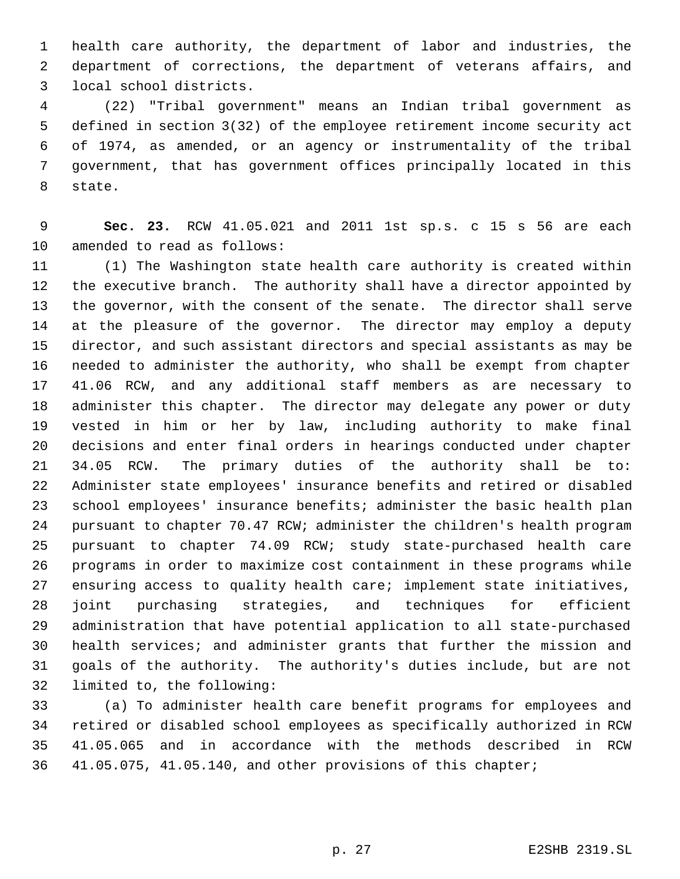health care authority, the department of labor and industries, the department of corrections, the department of veterans affairs, and local school districts.

 (22) "Tribal government" means an Indian tribal government as defined in section 3(32) of the employee retirement income security act of 1974, as amended, or an agency or instrumentality of the tribal government, that has government offices principally located in this state.

 **Sec. 23.** RCW 41.05.021 and 2011 1st sp.s. c 15 s 56 are each amended to read as follows:

 (1) The Washington state health care authority is created within the executive branch. The authority shall have a director appointed by the governor, with the consent of the senate. The director shall serve at the pleasure of the governor. The director may employ a deputy director, and such assistant directors and special assistants as may be needed to administer the authority, who shall be exempt from chapter 41.06 RCW, and any additional staff members as are necessary to administer this chapter. The director may delegate any power or duty vested in him or her by law, including authority to make final decisions and enter final orders in hearings conducted under chapter 34.05 RCW. The primary duties of the authority shall be to: Administer state employees' insurance benefits and retired or disabled school employees' insurance benefits; administer the basic health plan pursuant to chapter 70.47 RCW; administer the children's health program pursuant to chapter 74.09 RCW; study state-purchased health care programs in order to maximize cost containment in these programs while ensuring access to quality health care; implement state initiatives, joint purchasing strategies, and techniques for efficient administration that have potential application to all state-purchased health services; and administer grants that further the mission and goals of the authority. The authority's duties include, but are not limited to, the following:

 (a) To administer health care benefit programs for employees and retired or disabled school employees as specifically authorized in RCW 41.05.065 and in accordance with the methods described in RCW 41.05.075, 41.05.140, and other provisions of this chapter;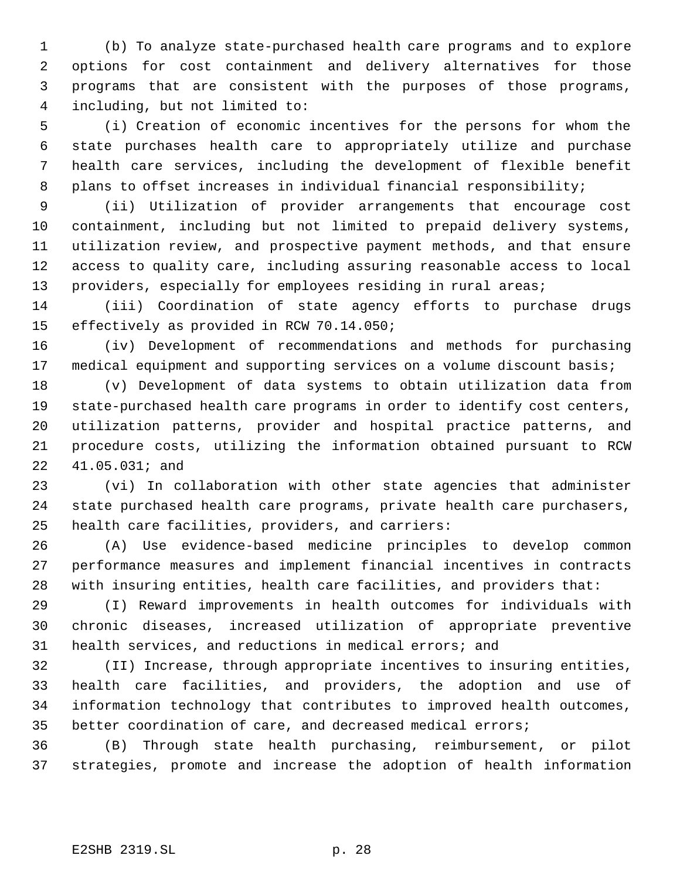(b) To analyze state-purchased health care programs and to explore options for cost containment and delivery alternatives for those programs that are consistent with the purposes of those programs, including, but not limited to:

 (i) Creation of economic incentives for the persons for whom the state purchases health care to appropriately utilize and purchase health care services, including the development of flexible benefit plans to offset increases in individual financial responsibility;

 (ii) Utilization of provider arrangements that encourage cost containment, including but not limited to prepaid delivery systems, utilization review, and prospective payment methods, and that ensure access to quality care, including assuring reasonable access to local providers, especially for employees residing in rural areas;

 (iii) Coordination of state agency efforts to purchase drugs effectively as provided in RCW 70.14.050;

 (iv) Development of recommendations and methods for purchasing 17 medical equipment and supporting services on a volume discount basis;

 (v) Development of data systems to obtain utilization data from state-purchased health care programs in order to identify cost centers, utilization patterns, provider and hospital practice patterns, and procedure costs, utilizing the information obtained pursuant to RCW 41.05.031; and

 (vi) In collaboration with other state agencies that administer state purchased health care programs, private health care purchasers, health care facilities, providers, and carriers:

 (A) Use evidence-based medicine principles to develop common performance measures and implement financial incentives in contracts with insuring entities, health care facilities, and providers that:

 (I) Reward improvements in health outcomes for individuals with chronic diseases, increased utilization of appropriate preventive health services, and reductions in medical errors; and

 (II) Increase, through appropriate incentives to insuring entities, health care facilities, and providers, the adoption and use of information technology that contributes to improved health outcomes, better coordination of care, and decreased medical errors;

 (B) Through state health purchasing, reimbursement, or pilot strategies, promote and increase the adoption of health information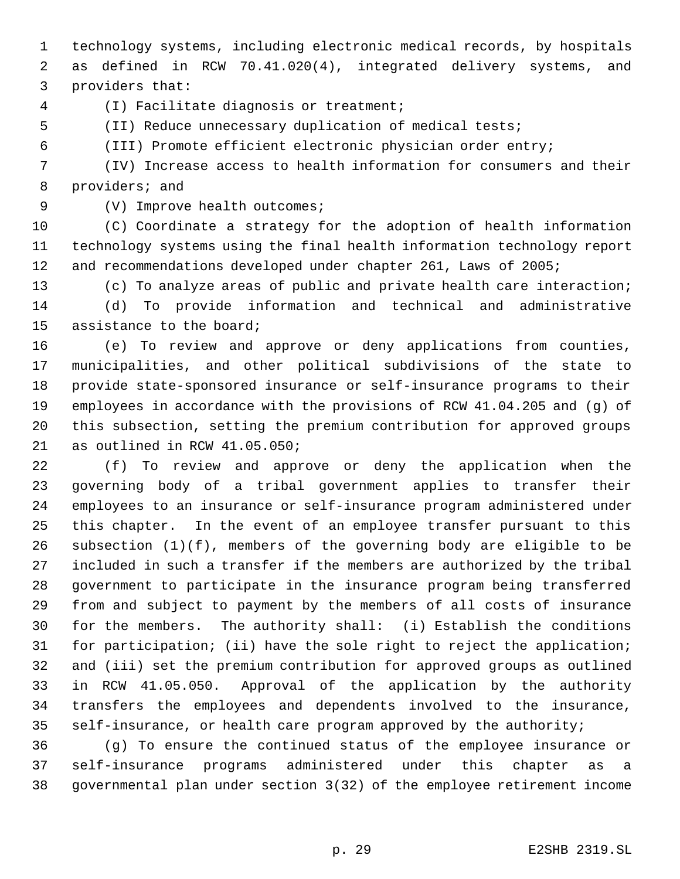technology systems, including electronic medical records, by hospitals as defined in RCW 70.41.020(4), integrated delivery systems, and providers that:

(I) Facilitate diagnosis or treatment;

(II) Reduce unnecessary duplication of medical tests;

(III) Promote efficient electronic physician order entry;

 (IV) Increase access to health information for consumers and their providers; and

9 (V) Improve health outcomes;

 (C) Coordinate a strategy for the adoption of health information technology systems using the final health information technology report and recommendations developed under chapter 261, Laws of 2005;

 (c) To analyze areas of public and private health care interaction; (d) To provide information and technical and administrative assistance to the board;

 (e) To review and approve or deny applications from counties, municipalities, and other political subdivisions of the state to provide state-sponsored insurance or self-insurance programs to their employees in accordance with the provisions of RCW 41.04.205 and (g) of this subsection, setting the premium contribution for approved groups as outlined in RCW 41.05.050;

 (f) To review and approve or deny the application when the governing body of a tribal government applies to transfer their employees to an insurance or self-insurance program administered under this chapter. In the event of an employee transfer pursuant to this subsection (1)(f), members of the governing body are eligible to be included in such a transfer if the members are authorized by the tribal government to participate in the insurance program being transferred from and subject to payment by the members of all costs of insurance for the members. The authority shall: (i) Establish the conditions for participation; (ii) have the sole right to reject the application; and (iii) set the premium contribution for approved groups as outlined in RCW 41.05.050. Approval of the application by the authority transfers the employees and dependents involved to the insurance, self-insurance, or health care program approved by the authority;

 (g) To ensure the continued status of the employee insurance or self-insurance programs administered under this chapter as a governmental plan under section 3(32) of the employee retirement income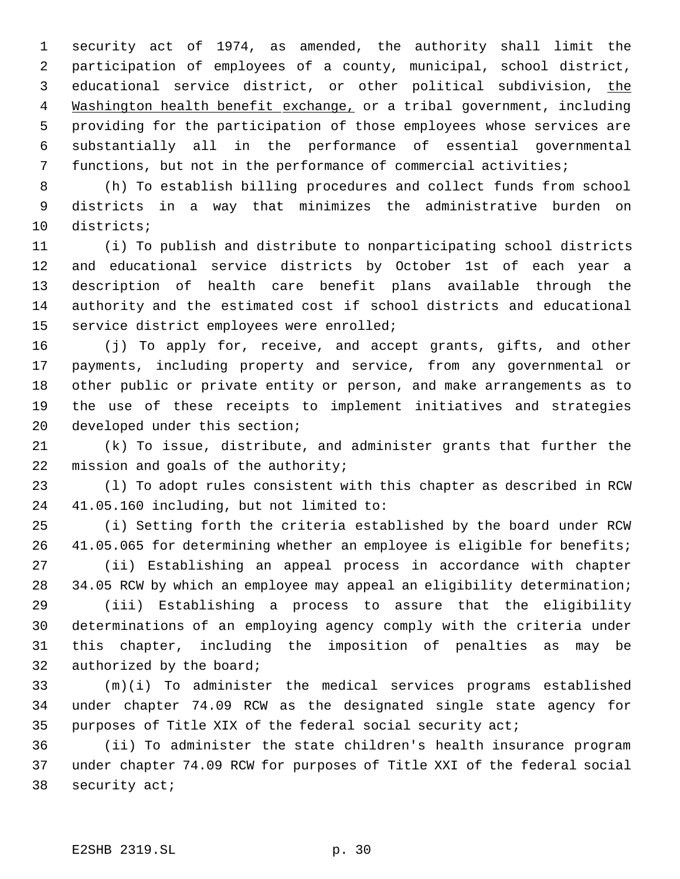security act of 1974, as amended, the authority shall limit the participation of employees of a county, municipal, school district, 3 educational service district, or other political subdivision, the 4 Washington health benefit exchange, or a tribal government, including providing for the participation of those employees whose services are substantially all in the performance of essential governmental functions, but not in the performance of commercial activities;

 (h) To establish billing procedures and collect funds from school districts in a way that minimizes the administrative burden on districts;

 (i) To publish and distribute to nonparticipating school districts and educational service districts by October 1st of each year a description of health care benefit plans available through the authority and the estimated cost if school districts and educational service district employees were enrolled;

 (j) To apply for, receive, and accept grants, gifts, and other payments, including property and service, from any governmental or other public or private entity or person, and make arrangements as to the use of these receipts to implement initiatives and strategies developed under this section;

 (k) To issue, distribute, and administer grants that further the 22 mission and goals of the authority;

 (l) To adopt rules consistent with this chapter as described in RCW 41.05.160 including, but not limited to:

 (i) Setting forth the criteria established by the board under RCW 41.05.065 for determining whether an employee is eligible for benefits; (ii) Establishing an appeal process in accordance with chapter 34.05 RCW by which an employee may appeal an eligibility determination;

 (iii) Establishing a process to assure that the eligibility determinations of an employing agency comply with the criteria under this chapter, including the imposition of penalties as may be authorized by the board;

 (m)(i) To administer the medical services programs established under chapter 74.09 RCW as the designated single state agency for purposes of Title XIX of the federal social security act;

 (ii) To administer the state children's health insurance program under chapter 74.09 RCW for purposes of Title XXI of the federal social security act;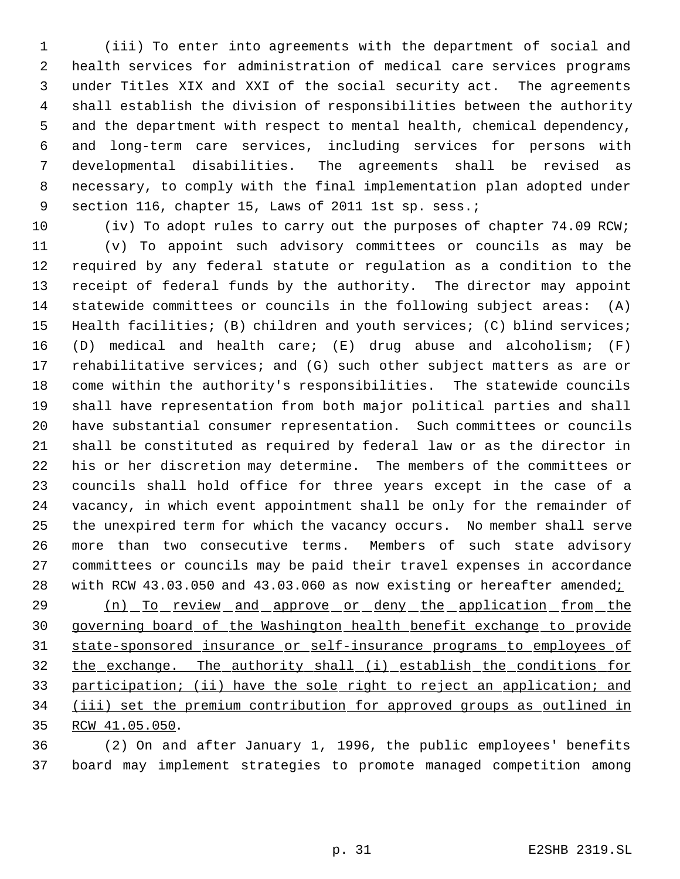(iii) To enter into agreements with the department of social and health services for administration of medical care services programs under Titles XIX and XXI of the social security act. The agreements shall establish the division of responsibilities between the authority and the department with respect to mental health, chemical dependency, and long-term care services, including services for persons with developmental disabilities. The agreements shall be revised as necessary, to comply with the final implementation plan adopted under 9 section 116, chapter 15, Laws of 2011 1st sp. sess.;

10 (iv) To adopt rules to carry out the purposes of chapter 74.09 RCW; (v) To appoint such advisory committees or councils as may be required by any federal statute or regulation as a condition to the receipt of federal funds by the authority. The director may appoint statewide committees or councils in the following subject areas: (A) Health facilities; (B) children and youth services; (C) blind services; (D) medical and health care; (E) drug abuse and alcoholism; (F) rehabilitative services; and (G) such other subject matters as are or come within the authority's responsibilities. The statewide councils shall have representation from both major political parties and shall have substantial consumer representation. Such committees or councils shall be constituted as required by federal law or as the director in his or her discretion may determine. The members of the committees or councils shall hold office for three years except in the case of a vacancy, in which event appointment shall be only for the remainder of the unexpired term for which the vacancy occurs. No member shall serve more than two consecutive terms. Members of such state advisory committees or councils may be paid their travel expenses in accordance 28 with RCW 43.03.050 and 43.03.060 as now existing or hereafter amended;

29 (n) To review and approve or deny the application from the governing board of the Washington health benefit exchange to provide state-sponsored insurance or self-insurance programs to employees of the exchange. The authority shall (i) establish the conditions for participation; (ii) have the sole right to reject an application; and (iii) set the premium contribution for approved groups as outlined in RCW 41.05.050.

 (2) On and after January 1, 1996, the public employees' benefits board may implement strategies to promote managed competition among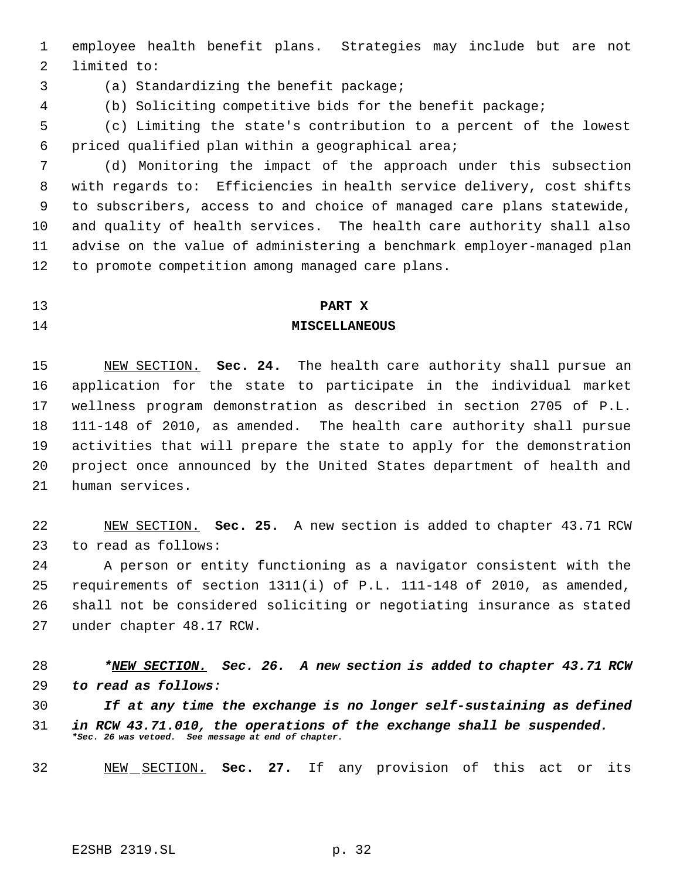employee health benefit plans. Strategies may include but are not limited to:

(a) Standardizing the benefit package;

(b) Soliciting competitive bids for the benefit package;

 (c) Limiting the state's contribution to a percent of the lowest priced qualified plan within a geographical area;

 (d) Monitoring the impact of the approach under this subsection with regards to: Efficiencies in health service delivery, cost shifts to subscribers, access to and choice of managed care plans statewide, and quality of health services. The health care authority shall also advise on the value of administering a benchmark employer-managed plan to promote competition among managed care plans.

#### **PART X**

# **MISCELLANEOUS**

# NEW SECTION. **Sec. 24.** The health care authority shall pursue an application for the state to participate in the individual market wellness program demonstration as described in section 2705 of P.L. 111-148 of 2010, as amended. The health care authority shall pursue activities that will prepare the state to apply for the demonstration project once announced by the United States department of health and human services.

 NEW SECTION. **Sec. 25.** A new section is added to chapter 43.71 RCW to read as follows:

 A person or entity functioning as a navigator consistent with the requirements of section 1311(i) of P.L. 111-148 of 2010, as amended, shall not be considered soliciting or negotiating insurance as stated under chapter 48.17 RCW.

 *\*NEW SECTION. Sec. 26. A new section is added to chapter 43.71 RCW to read as follows:*

 *If at any time the exchange is no longer self-sustaining as defined in RCW 43.71.010, the operations of the exchange shall be suspended. \*Sec. 26 was vetoed. See message at end of chapter.*

NEW SECTION. **Sec. 27.** If any provision of this act or its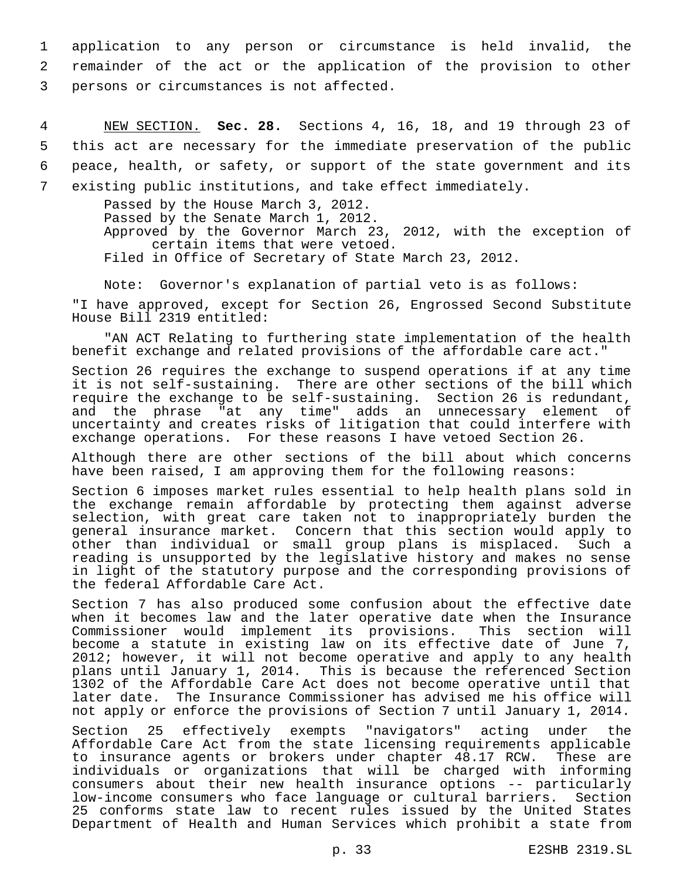1 application to any person or circumstance is held invalid, the 2 remainder of the act or the application of the provision to other 3 persons or circumstances is not affected.

 NEW SECTION. **Sec. 28.** Sections 4, 16, 18, and 19 through 23 of this act are necessary for the immediate preservation of the public peace, health, or safety, or support of the state government and its existing public institutions, and take effect immediately.

> Passed by the House March 3, 2012. Passed by the Senate March 1, 2012. Approved by the Governor March 23, 2012, with the exception of certain items that were vetoed. Filed in Office of Secretary of State March 23, 2012.

Note: Governor's explanation of partial veto is as follows:

"I have approved, except for Section 26, Engrossed Second Substitute House Bill 2319 entitled:

"AN ACT Relating to furthering state implementation of the health benefit exchange and related provisions of the affordable care act."

Section 26 requires the exchange to suspend operations if at any time it is not self-sustaining. There are other sections of the bill which require the exchange to be self-sustaining. Section 26 is redundant, and the phrase "at any time" adds an unnecessary element of uncertainty and creates risks of litigation that could interfere with exchange operations. For these reasons I have vetoed Section 26.

Although there are other sections of the bill about which concerns have been raised, I am approving them for the following reasons:

Section 6 imposes market rules essential to help health plans sold in the exchange remain affordable by protecting them against adverse selection, with great care taken not to inappropriately burden the general insurance market. Concern that this section would apply to other than individual or small group plans is misplaced. Such a reading is unsupported by the legislative history and makes no sense in light of the statutory purpose and the corresponding provisions of the federal Affordable Care Act.

Section 7 has also produced some confusion about the effective date when it becomes law and the later operative date when the Insurance<br>Commissioner would implement its provisions. This section will Commissioner would implement its provisions. This section will become a statute in existing law on its effective date of June 7, 2012; however, it will not become operative and apply to any health plans until January 1, 2014. This is because the referenced Section 1302 of the Affordable Care Act does not become operative until that later date. The Insurance Commissioner has advised me his office will not apply or enforce the provisions of Section 7 until January 1, 2014.

Section 25 effectively exempts "navigators" acting under the Affordable Care Act from the state licensing requirements applicable to insurance agents or brokers under chapter 48.17 RCW. These are individuals or organizations that will be charged with informing consumers about their new health insurance options -- particularly low-income consumers who face language or cultural barriers. Section 25 conforms state law to recent rules issued by the United States Department of Health and Human Services which prohibit a state from